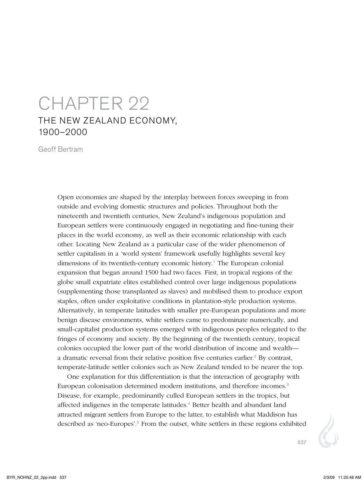## Chapter 22 The New Zealand Economy, 1900–2000

Geoff Bertram

Open economies are shaped by the interplay between forces sweeping in from outside and evolving domestic structures and policies. Throughout both the nineteenth and twentieth centuries, New Zealand's indigenous population and European settlers were continuously engaged in negotiating and fine-tuning their places in the world economy, as well as their economic relationship with each other. Locating New Zealand as a particular case of the wider phenomenon of settler capitalism in a 'world system' framework usefully highlights several key dimensions of its twentieth-century economic history.<sup>1</sup> The European colonial expansion that began around 1500 had two faces. First, in tropical regions of the globe small expatriate elites established control over large indigenous populations (supplementing those transplanted as slaves) and mobilised them to produce export staples, often under exploitative conditions in plantation-style production systems. Alternatively, in temperate latitudes with smaller pre-European populations and more benign disease environments, white settlers came to predominate numerically, and small-capitalist production systems emerged with indigenous peoples relegated to the fringes of economy and society. By the beginning of the twentieth century, tropical colonies occupied the lower part of the world distribution of income and wealth a dramatic reversal from their relative position five centuries earlier.<sup>2</sup> By contrast, temperate-latitude settler colonies such as New Zealand tended to be nearer the top.

One explanation for this differentiation is that the interaction of geography with European colonisation determined modern institutions, and therefore incomes.<sup>3</sup> Disease, for example, predominantly culled European settlers in the tropics, but affected indigenes in the temperate latitudes.<sup>4</sup> Better health and abundant land attracted migrant settlers from Europe to the latter, to establish what Maddison has described as 'neo-Europes'.<sup>5</sup> From the outset, white settlers in these regions exhibited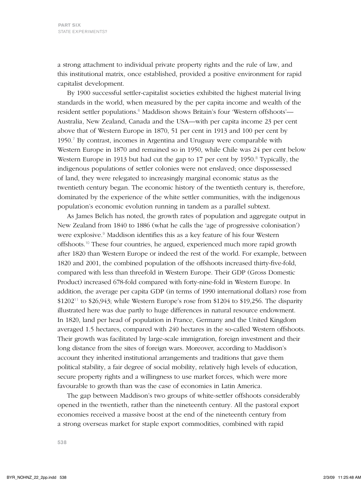a strong attachment to individual private property rights and the rule of law, and this institutional matrix, once established, provided a positive environment for rapid capitalist development.

By 1900 successful settler-capitalist societies exhibited the highest material living standards in the world, when measured by the per capita income and wealth of the resident settler populations.<sup>6</sup> Maddison shows Britain's four 'Western offshoots'— Australia, New Zealand, Canada and the USA—with per capita income 23 per cent above that of Western Europe in 1870, 51 per cent in 1913 and 100 per cent by 1950.<sup>7</sup> By contrast, incomes in Argentina and Uruguay were comparable with Western Europe in 1870 and remained so in 1950, while Chile was 24 per cent below Western Europe in 1913 but had cut the gap to 17 per cent by 1950.<sup>8</sup> Typically, the indigenous populations of settler colonies were not enslaved; once dispossessed of land, they were relegated to increasingly marginal economic status as the twentieth century began. The economic history of the twentieth century is, therefore, dominated by the experience of the white settler communities, with the indigenous population's economic evolution running in tandem as a parallel subtext.

As James Belich has noted, the growth rates of population and aggregate output in New Zealand from 1840 to 1886 (what he calls the 'age of progressive colonisation') were explosive.<sup>9</sup> Maddison identifies this as a key feature of his four Western offshoots.<sup>10</sup> These four countries, he argued, experienced much more rapid growth after 1820 than Western Europe or indeed the rest of the world. For example, between 1820 and 2001, the combined population of the offshoots increased thirty-five-fold, compared with less than threefold in Western Europe. Their GDP (Gross Domestic Product) increased 678-fold compared with forty-nine-fold in Western Europe. In addition, the average per capita GDP (in terms of 1990 international dollars) rose from  $$1202<sup>11</sup>$  to \$26,943; while Western Europe's rose from \$1204 to \$19,256. The disparity illustrated here was due partly to huge differences in natural resource endowment. In 1820, land per head of population in France, Germany and the United Kingdom averaged 1.5 hectares, compared with 240 hectares in the so-called Western offshoots. Their growth was facilitated by large-scale immigration, foreign investment and their long distance from the sites of foreign wars. Moreover, according to Maddison's account they inherited institutional arrangements and traditions that gave them political stability, a fair degree of social mobility, relatively high levels of education, secure property rights and a willingness to use market forces, which were more favourable to growth than was the case of economies in Latin America.

The gap between Maddison's two groups of white-settler offshoots considerably opened in the twentieth, rather than the nineteenth century. All the pastoral export economies received a massive boost at the end of the nineteenth century from a strong overseas market for staple export commodities, combined with rapid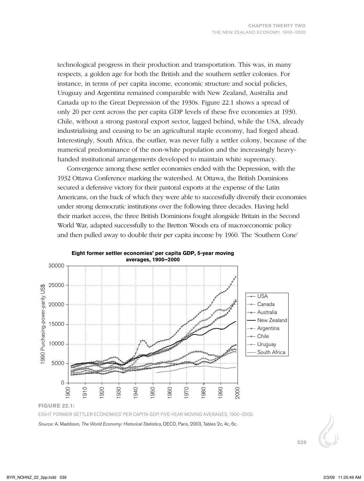technological progress in their production and transportation. This was, in many respects, a golden age for both the British and the southern settler colonies. For instance, in terms of per capita income, economic structure and social policies, Uruguay and Argentina remained comparable with New Zealand, Australia and Canada up to the Great Depression of the 1930s. Figure 22.1 shows a spread of only 20 per cent across the per capita GDP levels of these five economies at 1930. Chile, without a strong pastoral export sector, lagged behind, while the USA, already industrialising and ceasing to be an agricultural staple economy, had forged ahead. Interestingly, South Africa, the outlier, was never fully a settler colony, because of the numerical predominance of the non-white population and the increasingly heavyhanded institutional arrangements developed to maintain white supremacy.

Convergence among these settler economies ended with the Depression, with the 1932 Ottawa conference marking the watershed. At Ottawa, the British Dominions secured a defensive victory for their pastoral exports at the expense of the Latin Americans, on the back of which they were able to successfully diversify their economies under strong democratic institutions over the following three decades. Having held their market access, the three British Dominions fought alongside Britain in the Second World War, adapted successfully to the Bretton Woods era of macroeconomic policy and then pulled away to double their per capita income by 1960. The 'Southern Cone'



**Eight former settler economies' per capita GDP, 5-year moving**

*Source:* A. Maddison, *The World Economy: Historical Statistics*, OECD, Paris, 2003, Tables 2c, 4c, 6c.

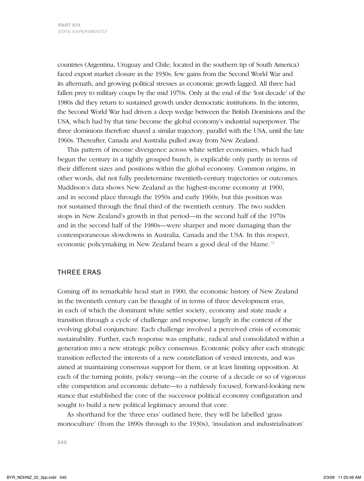countries (Argentina, Uruguay and Chile, located in the southern tip of South America) faced export market closure in the 1930s, few gains from the Second World War and its aftermath, and growing political stresses as economic growth lagged. All three had fallen prey to military coups by the mid 1970s. Only at the end of the 'lost decade' of the 1980s did they return to sustained growth under democratic institutions. In the interim, the Second World War had driven a deep wedge between the British Dominions and the USA, which had by that time become the global economy's industrial superpower. The three dominions therefore shared a similar trajectory, parallel with the USA, until the late 1960s. Thereafter, Canada and Australia pulled away from New Zealand.

This pattern of income divergence across white settler economies, which had begun the century in a tightly grouped bunch, is explicable only partly in terms of their different sizes and positions within the global economy. Common origins, in other words, did not fully predetermine twentieth-century trajectories or outcomes. Maddison's data shows New Zealand as the highest-income economy at 1900, and in second place through the 1950s and early 1960s; but this position was not sustained through the final third of the twentieth century. The two sudden stops in New Zealand's growth in that period—in the second half of the 1970s and in the second half of the 1980s—were sharper and more damaging than the contemporaneous slowdowns in Australia, Canada and the USA. In this respect, economic policymaking in New Zealand bears a good deal of the blame.<sup>12</sup>

## THREE ERAS

Coming off its remarkable head start in 1900, the economic history of New Zealand in the twentieth century can be thought of in terms of three development eras, in each of which the dominant white settler society, economy and state made a transition through a cycle of challenge and response, largely in the context of the evolving global conjuncture. Each challenge involved a perceived crisis of economic sustainability. Further, each response was emphatic, radical and consolidated within a generation into a new strategic policy consensus. Economic policy after each strategic transition reflected the interests of a new constellation of vested interests, and was aimed at maintaining consensus support for them, or at least limiting opposition. At each of the turning points, policy swung—in the course of a decade or so of vigorous elite competition and economic debate—to a ruthlessly focused, forward-looking new stance that established the core of the successor political economy configuration and sought to build a new political legitimacy around that core.

As shorthand for the 'three eras' outlined here, they will be labelled 'grass monoculture' (from the 1890s through to the 1930s), 'insulation and industrialisation'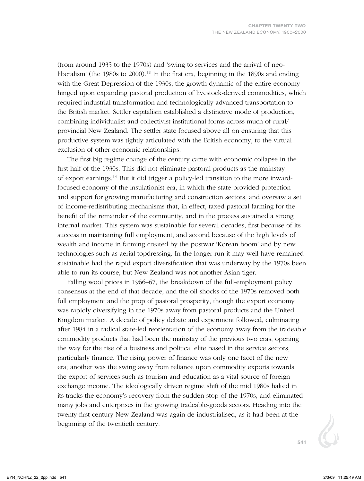(from around 1935 to the 1970s) and 'swing to services and the arrival of neoliberalism' (the 1980s to 2000).<sup>13</sup> In the first era, beginning in the 1890s and ending with the Great Depression of the 1930s, the growth dynamic of the entire economy hinged upon expanding pastoral production of livestock-derived commodities, which required industrial transformation and technologically advanced transportation to the British market. Settler capitalism established a distinctive mode of production, combining individualist and collectivist institutional forms across much of rural/ provincial New Zealand. The settler state focused above all on ensuring that this productive system was tightly articulated with the British economy, to the virtual exclusion of other economic relationships.

The first big regime change of the century came with economic collapse in the first half of the 1930s. This did not eliminate pastoral products as the mainstay of export earnings.14 But it did trigger a policy-led transition to the more inwardfocused economy of the insulationist era, in which the state provided protection and support for growing manufacturing and construction sectors, and oversaw a set of income-redistributing mechanisms that, in effect, taxed pastoral farming for the benefit of the remainder of the community, and in the process sustained a strong internal market. This system was sustainable for several decades, first because of its success in maintaining full employment, and second because of the high levels of wealth and income in farming created by the postwar 'Korean boom' and by new technologies such as aerial topdressing. In the longer run it may well have remained sustainable had the rapid export diversification that was underway by the 1970s been able to run its course, but New Zealand was not another Asian tiger.

Falling wool prices in 1966–67, the breakdown of the full-employment policy consensus at the end of that decade, and the oil shocks of the 1970s removed both full employment and the prop of pastoral prosperity, though the export economy was rapidly diversifying in the 1970s away from pastoral products and the United Kingdom market. A decade of policy debate and experiment followed, culminating after 1984 in a radical state-led reorientation of the economy away from the tradeable commodity products that had been the mainstay of the previous two eras, opening the way for the rise of a business and political elite based in the service sectors, particularly finance. The rising power of finance was only one facet of the new era; another was the swing away from reliance upon commodity exports towards the export of services such as tourism and education as a vital source of foreign exchange income. The ideologically driven regime shift of the mid 1980s halted in its tracks the economy's recovery from the sudden stop of the 1970s, and eliminated many jobs and enterprises in the growing tradeable-goods sectors. Heading into the twenty-first century New Zealand was again de-industrialised, as it had been at the beginning of the twentieth century.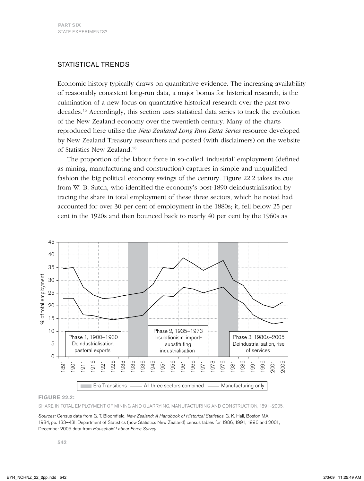## STATISTICAL TRENDS

Economic history typically draws on quantitative evidence. The increasing availability of reasonably consistent long-run data, a major bonus for historical research, is the culmination of a new focus on quantitative historical research over the past two decades.<sup>15</sup> Accordingly, this section uses statistical data series to track the evolution of the New Zealand economy over the twentieth century. Many of the charts reproduced here utilise the *New Zealand Long Run Data Series* resource developed by New Zealand Treasury researchers and posted (with disclaimers) on the website of Statistics New Zealand.<sup>16</sup>

The proportion of the labour force in so-called 'industrial' employment (defined as mining, manufacturing and construction) captures in simple and unqualified fashion the big political economy swings of the century. Figure 22.2 takes its cue from W. B. Sutch, who identified the economy's post-1890 deindustrialisation by tracing the share in total employment of these three sectors, which he noted had accounted for over 30 per cent of employment in the 1880s; it, fell below 25 per cent in the 1920s and then bounced back to nearly 40 per cent by the 1960s as



#### **Figure 22.2:**

Share in total employment of mining and quarrying, manufacturing and construction, 1891–2005.

*Sources:* Census data from G. T. Bloomfield, *New Zealand: A Handbook of Historical Statistics*, G. K. Hall, Boston MA, 1984, pp. 133–43l; Department of Statistics (now Statistics New Zealand) census tables for 1986, 1991, 1996 and 2001; December 2005 data from *Household Labour Force Survey.*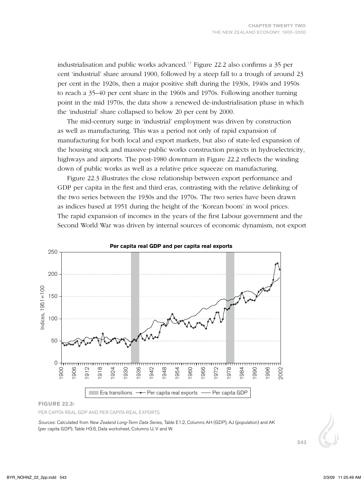industrialisation and public works advanced.<sup>17</sup> Figure 22.2 also confirms a 35 per cent 'industrial' share around 1900, followed by a steep fall to a trough of around 23 per cent in the 1920s, then a major positive shift during the 1930s, 1940s and 1950s to reach a 35–40 per cent share in the 1960s and 1970s. Following another turning point in the mid 1970s, the data show a renewed de-industrialisation phase in which the 'industrial' share collapsed to below 20 per cent by 2000.

The mid-century surge in 'industrial' employment was driven by construction as well as manufacturing. This was a period not only of rapid expansion of manufacturing for both local and export markets, but also of state-led expansion of the housing stock and massive public works construction projects in hydroelectricity, highways and airports. The post-1980 downturn in Figure 22.2 reflects the winding down of public works as well as a relative price squeeze on manufacturing.

Figure 22.3 illustrates the close relationship between export performance and GDP per capita in the first and third eras, contrasting with the relative delinking of the two series between the 1930s and the 1970s. The two series have been drawn as indices based at 1951 during the height of the 'Korean boom' in wool prices. The rapid expansion of incomes in the years of the first Labour government and the Second World War was driven by internal sources of economic dynamism, not export



#### **Figure 22.3:**

Per capita real GDP and per capita real exports.

*Sources:* Calculated from *New Zealand Long-Term Data Series,* Table E1.2, Columns AH (GDP), AJ (population) and AK (per capita GDP); Table H3.6, Data worksheet, Columns U, V and W.

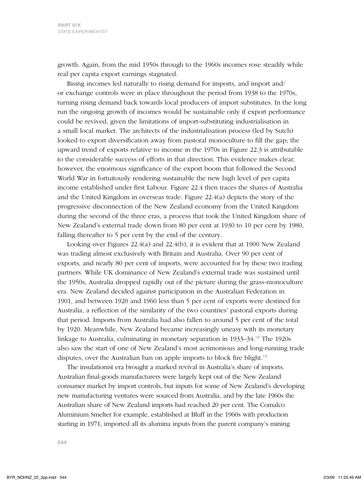growth. Again, from the mid 1950s through to the 1960s incomes rose steadily while real per capita export earnings stagnated.

Rising incomes led naturally to rising demand for imports, and import and/ or exchange controls were in place throughout the period from 1938 to the 1970s, turning rising demand back towards local producers of import substitutes. In the long run the ongoing growth of incomes would be sustainable only if export performance could be revived, given the limitations of import-substituting industrialisation in a small local market. The architects of the industrialisation process (led by Sutch) looked to export diversification away from pastoral monoculture to fill the gap; the upward trend of exports relative to income in the 1970s in Figure 22.3 is attributable to the considerable success of efforts in that direction. This evidence makes clear, however, the enormous significance of the export boom that followed the Second World War in fortuitously rendering sustainable the new high level of per capita income established under first Labour. Figure 22.4 then traces the shares of Australia and the United Kingdom in overseas trade. Figure 22.4(a) depicts the story of the progressive disconnection of the New Zealand economy from the United Kingdom during the second of the three eras, a process that took the United Kingdom share of New Zealand's external trade down from 80 per cent at 1930 to 10 per cent by 1980, falling thereafter to 5 per cent by the end of the century.

Looking over Figures 22.4(a) and 22.4(b), it is evident that at 1900 New Zealand was trading almost exclusively with Britain and Australia. Over 90 per cent of exports, and nearly 80 per cent of imports, were accounted for by these two trading partners. While UK dominance of New Zealand's external trade was sustained until the 1950s, Australia dropped rapidly out of the picture during the grass-monoculture era. New Zealand decided against participation in the Australian Federation in 1901, and between 1920 and 1960 less than 5 per cent of exports were destined for Australia, a reflection of the similarity of the two countries' pastoral exports during that period. Imports from Australia had also fallen to around 5 per cent of the total by 1920. Meanwhile, New Zealand became increasingly uneasy with its monetary linkage to Australia, culminating in monetary separation in 1933–34.<sup>18</sup> The 1920s also saw the start of one of New Zealand's most acrimonious and long-running trade disputes, over the Australian ban on apple imports to block fire blight.<sup>19</sup>

The insulationist era brought a marked revival in Australia's share of imports. Australian final-goods manufacturers were largely kept out of the New Zealand consumer market by import controls, but inputs for some of New Zealand's developing new manufacturing ventures were sourced from Australia, and by the late 1960s the Australian share of New Zealand imports had reached 20 per cent. The Comalco aluminium smelter for example, established at Bluff in the 1960s with production starting in 1971, imported all its alumina inputs from the parent company's mining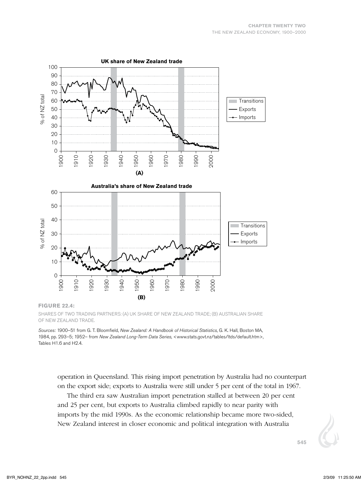

SHARES OF TWO TRADING PARTNERS: (A) UK SHARE OF NEW ZEALAND TRADE; (B) AUSTRALIAN SHARE of New Zealand trade.

*Sources:* 1900–51 from G. T. Bloomfield, *New Zealand: A Handbook of Historical Statistics*, G. K. Hall, Boston MA, 1984, pp. 293–5; 1952– from *New Zealand Long-Term Data Series*, <www.stats.govt.nz/tables/ltds/default.htm>*,*  Tables H1.6 and H2.4.

operation in Queensland. This rising import penetration by Australia had no counterpart on the export side; exports to Australia were still under 5 per cent of the total in 1967.

The third era saw Australian import penetration stalled at between 20 per cent and 25 per cent, but exports to Australia climbed rapidly to near parity with imports by the mid 1990s. As the economic relationship became more two-sided, New Zealand interest in closer economic and political integration with Australia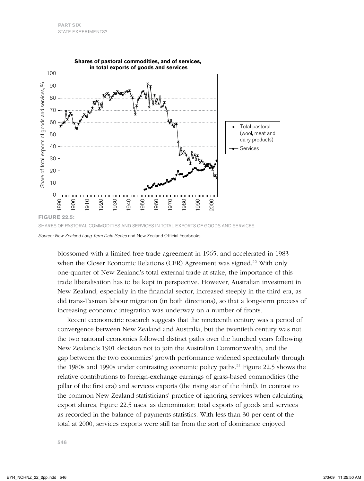

*Source: New Zealand Long-Term Data Series* and New Zealand Official Yearbooks.

blossomed with a limited free-trade agreement in 1965, and accelerated in 1983 when the Closer Economic Relations (CER) Agreement was signed.<sup>20</sup> With only one-quarter of New Zealand's total external trade at stake, the importance of this trade liberalisation has to be kept in perspective. However, Australian investment in New Zealand, especially in the financial sector, increased steeply in the third era, as did trans-Tasman labour migration (in both directions), so that a long-term process of increasing economic integration was underway on a number of fronts.

Recent econometric research suggests that the nineteenth century was a period of convergence between New Zealand and Australia, but the twentieth century was not: the two national economies followed distinct paths over the hundred years following New Zealand's 1901 decision not to join the Australian Commonwealth, and the gap between the two economies' growth performance widened spectacularly through the 1980s and 1990s under contrasting economic policy paths.<sup>21</sup> Figure 22.5 shows the relative contributions to foreign-exchange earnings of grass-based commodities (the pillar of the first era) and services exports (the rising star of the third). In contrast to the common New Zealand statisticians' practice of ignoring services when calculating export shares, Figure 22.5 uses, as denominator, total exports of goods and services as recorded in the balance of payments statistics. With less than 30 per cent of the total at 2000, services exports were still far from the sort of dominance enjoyed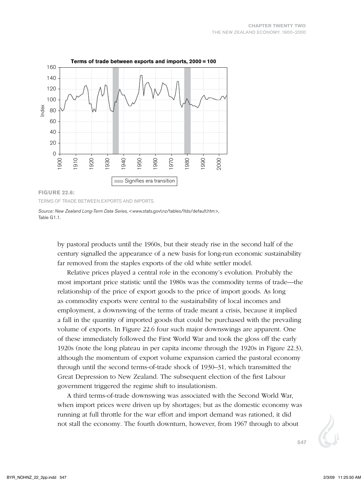

#### **Figure 22.6:**

Terms of trade between exports and imports.

by pastoral products until the 1960s, but their steady rise in the second half of the century signalled the appearance of a new basis for long-run economic sustainability far removed from the staples exports of the old white settler model.

Relative prices played a central role in the economy's evolution. Probably the most important price statistic until the 1980s was the commodity terms of trade—the relationship of the price of export goods to the price of import goods. As long as commodity exports were central to the sustainability of local incomes and employment, a downswing of the terms of trade meant a crisis, because it implied a fall in the quantity of imported goods that could be purchased with the prevailing volume of exports. In Figure 22.6 four such major downswings are apparent. One of these immediately followed the First World War and took the gloss off the early 1920s (note the long plateau in per capita income through the 1920s in Figure 22.3), although the momentum of export volume expansion carried the pastoral economy through until the second terms-of-trade shock of 1930–31, which transmitted the Great Depression to New Zealand. The subsequent election of the first Labour government triggered the regime shift to insulationism.

A third terms-of-trade downswing was associated with the Second World War, when import prices were driven up by shortages; but as the domestic economy was running at full throttle for the war effort and import demand was rationed, it did not stall the economy. The fourth downturn, however, from 1967 through to about

*Source: New Zealand Long-Term Data Series*, <www.stats.govt.nz/tables/ltds/default.htm>*,*  Table G1.1.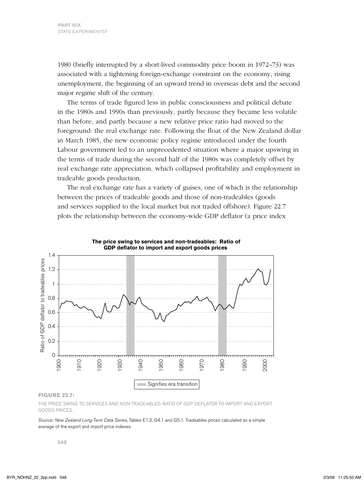1980 (briefly interrupted by a short-lived commodity price boom in 1972–73) was associated with a tightening foreign-exchange constraint on the economy, rising unemployment, the beginning of an upward trend in overseas debt and the second major regime shift of the century.

The terms of trade figured less in public consciousness and political debate in the 1980s and 1990s than previously, partly because they became less volatile than before, and partly because a new relative price ratio had moved to the foreground: the real exchange rate. Following the float of the New Zealand dollar in March 1985, the new economic policy regime introduced under the fourth Labour government led to an unprecedented situation where a major upswing in the terms of trade during the second half of the 1980s was completely offset by real exchange rate appreciation, which collapsed profitability and employment in tradeable goods production.

The real exchange rate has a variety of guises, one of which is the relationship between the prices of tradeable goods and those of non-tradeables (goods and services supplied to the local market but not traded offshore). Figure 22.7 plots the relationship between the economy-wide GDP deflator (a price index





#### **Figure 22.7:**

The price swing to services and non-tradeables: ratio of GDP deflator to import and export goods prices.

*Source: New Zealand Long-Term Data Series*, Tables E1.3, G4.1 and G5.1. Tradeables prices calculated as a simple average of the export and import price indexes.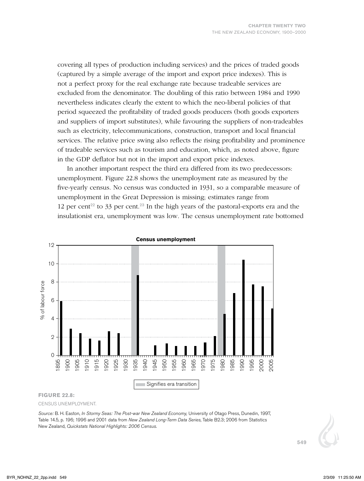covering all types of production including services) and the prices of traded goods (captured by a simple average of the import and export price indexes). This is not a perfect proxy for the real exchange rate because tradeable services are excluded from the denominator. The doubling of this ratio between 1984 and 1990 nevertheless indicates clearly the extent to which the neo-liberal policies of that period squeezed the profitability of traded goods producers (both goods exporters and suppliers of import substitutes), while favouring the suppliers of non-tradeables such as electricity, telecommunications, construction, transport and local financial services. The relative price swing also reflects the rising profitability and prominence of tradeable services such as tourism and education, which, as noted above, figure in the GDP deflator but not in the import and export price indexes.

In another important respect the third era differed from its two predecessors: unemployment. Figure 22.8 shows the unemployment rate as measured by the five-yearly census. No census was conducted in 1931, so a comparable measure of unemployment in the Great Depression is missing; estimates range from 12 per cent<sup>22</sup> to 33 per cent.<sup>23</sup> In the high years of the pastoral-exports era and the insulationist era, unemployment was low. The census unemployment rate bottomed



#### **Census unemployment**

#### **Figure 22.8:**

Census unemployment.

*Source:* B. H. Easton, *In Stormy Seas: The Post-war New Zealand Economy,* University of Otago Press, Dunedin, 1997, Table 14.5, p. 196; 1996 and 2001 data from *New Zealand Long-Term Data Series*, Table B2.3; 2006 from Statistics New Zealand, *Quickstats National Highlights: 2006 Census*.

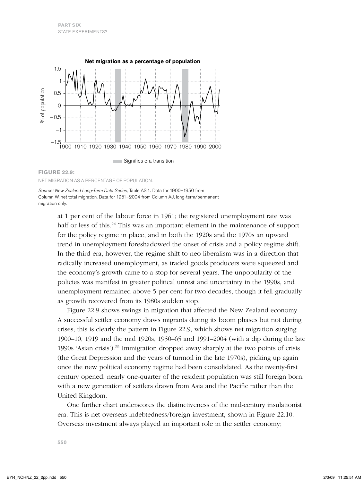

Net migration as a percentage of population.

*Source: New Zealand Long-Term Data Series,* Table A3.1. Data for 1900–1950 from Column W, net total migration. Data for 1951–2004 from Column AJ, long-term/permanent migration only.

> at 1 per cent of the labour force in 1961; the registered unemployment rate was half or less of this.<sup>24</sup> This was an important element in the maintenance of support for the policy regime in place, and in both the 1920s and the 1970s an upward trend in unemployment foreshadowed the onset of crisis and a policy regime shift. In the third era, however, the regime shift to neo-liberalism was in a direction that radically increased unemployment, as traded goods producers were squeezed and the economy's growth came to a stop for several years. The unpopularity of the policies was manifest in greater political unrest and uncertainty in the 1990s, and unemployment remained above 5 per cent for two decades, though it fell gradually as growth recovered from its 1980s sudden stop.

Figure 22.9 shows swings in migration that affected the New Zealand economy. A successful settler economy draws migrants during its boom phases but not during crises; this is clearly the pattern in Figure 22.9, which shows net migration surging 1900–10, 1919 and the mid 1920s, 1950–65 and 1991–2004 (with a dip during the late 1990s 'Asian crisis').<sup>25</sup> Immigration dropped away sharply at the two points of crisis (the Great Depression and the years of turmoil in the late 1970s), picking up again once the new political economy regime had been consolidated. As the twenty-first century opened, nearly one-quarter of the resident population was still foreign born, with a new generation of settlers drawn from Asia and the Pacific rather than the United Kingdom.

One further chart underscores the distinctiveness of the mid-century insulationist era. This is net overseas indebtedness/foreign investment, shown in Figure 22.10. Overseas investment always played an important role in the settler economy;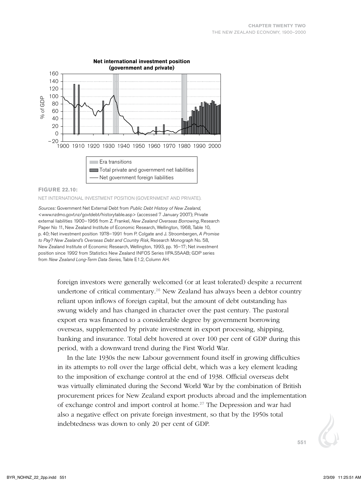

#### **Figure 22.10:**

#### Net international investment position (government and private).

*Sources:* Government Net External Debt from *Public Debt History of New Zealand*, <www.nzdmo.govt.nz/govtdebt/historytable.asp> (accessed 7 January 2007); Private external liabilities 1900–1966 from Z. Frankel, *New Zealand Overseas Borrowing*, Research Paper No 11, New Zealand Institute of Economic Research, Wellington, 1968, Table 10, p. 40; Net investment position 1978–1991 from P. Colgate and J. Stroombergen, *A Promise to Pay? New Zealand's Overseas Debt and Country Risk*, Research Monograph No. 58, New Zealand Institute of Economic Research, Wellington, 1993, pp. 16–17; Net investment position since 1992 from Statistics New Zealand INFOS Series IIPA.S5AAB; GDP series from *New Zealand Long-Term Data Series*, Table E1.2, Column AH.

> foreign investors were generally welcomed (or at least tolerated) despite a recurrent undertone of critical commentary.<sup>26</sup> New Zealand has always been a debtor country reliant upon inflows of foreign capital, but the amount of debt outstanding has swung widely and has changed in character over the past century. The pastoral export era was financed to a considerable degree by government borrowing overseas, supplemented by private investment in export processing, shipping, banking and insurance. Total debt hovered at over 100 per cent of GDP during this period, with a downward trend during the First World War.

In the late 1930s the new Labour government found itself in growing difficulties in its attempts to roll over the large official debt, which was a key element leading to the imposition of exchange control at the end of 1938. Official overseas debt was virtually eliminated during the Second World War by the combination of British procurement prices for New Zealand export products abroad and the implementation of exchange control and import control at home.<sup>27</sup> The Depression and war had also a negative effect on private foreign investment, so that by the 1950s total indebtedness was down to only 20 per cent of GDP.

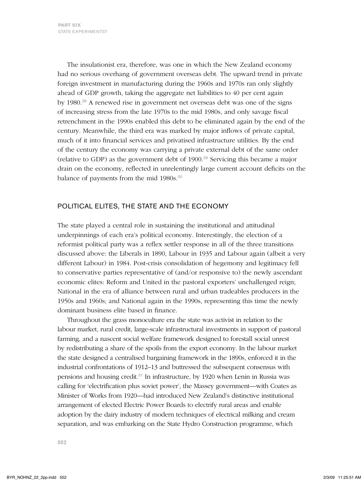The insulationist era, therefore, was one in which the New Zealand economy had no serious overhang of government overseas debt. The upward trend in private foreign investment in manufacturing during the 1960s and 1970s ran only slightly ahead of GDP growth, taking the aggregate net liabilities to 40 per cent again by 1980.<sup>28</sup> A renewed rise in government net overseas debt was one of the signs of increasing stress from the late 1970s to the mid 1980s, and only savage fiscal retrenchment in the 1990s enabled this debt to be eliminated again by the end of the century. Meanwhile, the third era was marked by major inflows of private capital, much of it into financial services and privatised infrastructure utilities. By the end of the century the economy was carrying a private external debt of the same order (relative to GDP) as the government debt of 1900.<sup>29</sup> Servicing this became a major drain on the economy, reflected in unrelentingly large current account deficits on the balance of payments from the mid 1980s.<sup>30</sup>

## POLITICAL ELITES, THE STATE AND THE ECONOMY

The state played a central role in sustaining the institutional and attitudinal underpinnings of each era's political economy. Interestingly, the election of a reformist political party was a reflex settler response in all of the three transitions discussed above: the Liberals in 1890, Labour in 1935 and Labour again (albeit a very different Labour) in 1984. Post-crisis consolidation of hegemony and legitimacy fell to conservative parties representative of (and/or responsive to) the newly ascendant economic elites: Reform and United in the pastoral exporters' unchallenged reign; National in the era of alliance between rural and urban tradeables producers in the 1950s and 1960s; and National again in the 1990s, representing this time the newly dominant business elite based in finance.

Throughout the grass monoculture era the state was activist in relation to the labour market, rural credit, large-scale infrastructural investments in support of pastoral farming, and a nascent social welfare framework designed to forestall social unrest by redistributing a share of the spoils from the export economy. In the labour market the state designed a centralised bargaining framework in the 1890s, enforced it in the industrial confrontations of 1912–13 and buttressed the subsequent consensus with pensions and housing credit.<sup>31</sup> In infrastructure, by 1920 when Lenin in Russia was calling for 'electrification plus soviet power', the Massey government—with Coates as Minister of Works from 1920—had introduced New Zealand's distinctive institutional arrangement of elected Electric Power Boards to electrify rural areas and enable adoption by the dairy industry of modern techniques of electrical milking and cream separation, and was embarking on the State Hydro Construction programme, which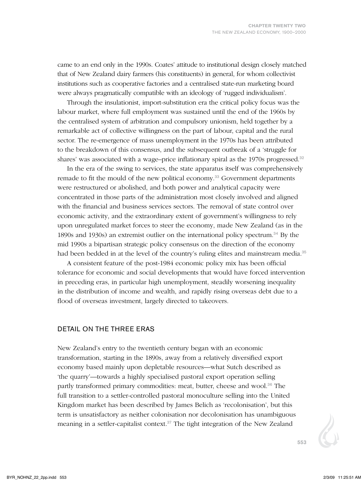came to an end only in the 1990s. Coates' attitude to institutional design closely matched that of New Zealand dairy farmers (his constituents) in general, for whom collectivist institutions such as cooperative factories and a centralised state-run marketing board were always pragmatically compatible with an ideology of 'rugged individualism'.

Through the insulationist, import-substitution era the critical policy focus was the labour market, where full employment was sustained until the end of the 1960s by the centralised system of arbitration and compulsory unionism, held together by a remarkable act of collective willingness on the part of labour, capital and the rural sector. The re-emergence of mass unemployment in the 1970s has been attributed to the breakdown of this consensus, and the subsequent outbreak of a 'struggle for shares' was associated with a wage–price inflationary spiral as the 1970s progressed.<sup>32</sup>

In the era of the swing to services, the state apparatus itself was comprehensively remade to fit the mould of the new political economy.<sup>33</sup> Government departments were restructured or abolished, and both power and analytical capacity were concentrated in those parts of the administration most closely involved and aligned with the financial and business services sectors. The removal of state control over economic activity, and the extraordinary extent of government's willingness to rely upon unregulated market forces to steer the economy, made New Zealand (as in the 1890s and 1930s) an extremist outlier on the international policy spectrum.<sup>34</sup> By the mid 1990s a bipartisan strategic policy consensus on the direction of the economy had been bedded in at the level of the country's ruling elites and mainstream media.<sup>35</sup>

A consistent feature of the post-1984 economic policy mix has been official tolerance for economic and social developments that would have forced intervention in preceding eras, in particular high unemployment, steadily worsening inequality in the distribution of income and wealth, and rapidly rising overseas debt due to a flood of overseas investment, largely directed to takeovers.

### DETAIL ON THE THREE ERAS

New Zealand's entry to the twentieth century began with an economic transformation, starting in the 1890s, away from a relatively diversified export economy based mainly upon depletable resources—what Sutch described as 'the quarry'—towards a highly specialised pastoral export operation selling partly transformed primary commodities: meat, butter, cheese and wool.<sup>36</sup> The full transition to a settler-controlled pastoral monoculture selling into the United Kingdom market has been described by James Belich as 'recolonisation', but this term is unsatisfactory as neither colonisation nor decolonisation has unambiguous meaning in a settler-capitalist context. $37$  The tight integration of the New Zealand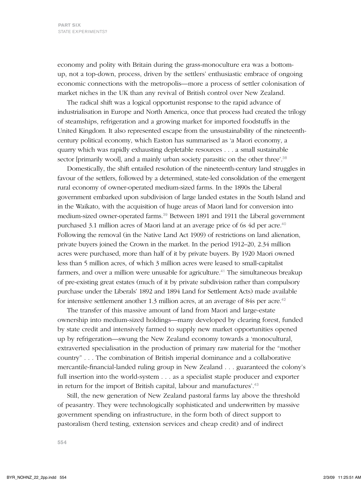economy and polity with Britain during the grass-monoculture era was a bottomup, not a top-down, process, driven by the settlers' enthusiastic embrace of ongoing economic connections with the metropolis—more a process of settler colonisation of market niches in the UK than any revival of British control over New Zealand.

The radical shift was a logical opportunist response to the rapid advance of industrialisation in Europe and North America, once that process had created the trilogy of steamships, refrigeration and a growing market for imported foodstuffs in the United Kingdom. It also represented escape from the unsustainability of the nineteenthcentury political economy, which Easton has summarised as 'a Maori economy, a quarry which was rapidly exhausting depletable resources . . . a small sustainable sector [primarily wool], and a mainly urban society parasitic on the other three'.<sup>38</sup>

Domestically, the shift entailed resolution of the nineteenth-century land struggles in favour of the settlers, followed by a determined, state-led consolidation of the emergent rural economy of owner-operated medium-sized farms. In the 1890s the Liberal government embarked upon subdivision of large landed estates in the South Island and in the Waikato, with the acquisition of huge areas of Maori land for conversion into medium-sized owner-operated farms.<sup>39</sup> Between 1891 and 1911 the Liberal government purchased 3.1 million acres of Maori land at an average price of 6s 4d per acre.<sup>40</sup> Following the removal (in the Native Land Act 1909) of restrictions on land alienation, private buyers joined the Crown in the market. In the period 1912–20, 2.34 million acres were purchased, more than half of it by private buyers. By 1920 Maori owned less than 5 million acres, of which 3 million acres were leased to small-capitalist farmers, and over a million were unusable for agriculture.<sup>41</sup> The simultaneous breakup of pre-existing great estates (much of it by private subdivision rather than compulsory purchase under the Liberals' 1892 and 1894 Land for Settlement Acts) made available for intensive settlement another 1.3 million acres, at an average of 84s per acre.<sup>42</sup>

The transfer of this massive amount of land from Maori and large-estate ownership into medium-sized holdings—many developed by clearing forest, funded by state credit and intensively farmed to supply new market opportunities opened up by refrigeration—swung the New Zealand economy towards a 'monocultural, extraverted specialisation in the production of primary raw material for the "mother country" . . . The combination of British imperial dominance and a collaborative mercantile-financial-landed ruling group in New Zealand . . . guaranteed the colony's full insertion into the world-system . . . as a specialist staple producer and exporter in return for the import of British capital, labour and manufactures'.<sup>43</sup>

Still, the new generation of New Zealand pastoral farms lay above the threshold of peasantry. They were technologically sophisticated and underwritten by massive government spending on infrastructure, in the form both of direct support to pastoralism (herd testing, extension services and cheap credit) and of indirect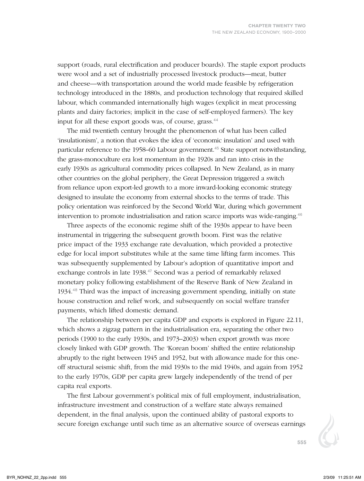support (roads, rural electrification and producer boards). The staple export products were wool and a set of industrially processed livestock products—meat, butter and cheese—with transportation around the world made feasible by refrigeration technology introduced in the 1880s, and production technology that required skilled labour, which commanded internationally high wages (explicit in meat processing plants and dairy factories; implicit in the case of self-employed farmers). The key input for all these export goods was, of course, grass.<sup>44</sup>

The mid twentieth century brought the phenomenon of what has been called 'insulationism', a notion that evokes the idea of 'economic insulation' and used with particular reference to the 1958–60 Labour government.<sup>45</sup> State support notwithstanding, the grass-monoculture era lost momentum in the 1920s and ran into crisis in the early 1930s as agricultural commodity prices collapsed. In New Zealand, as in many other countries on the global periphery, the Great Depression triggered a switch from reliance upon export-led growth to a more inward-looking economic strategy designed to insulate the economy from external shocks to the terms of trade. This policy orientation was reinforced by the Second World War, during which government intervention to promote industrialisation and ration scarce imports was wide-ranging.<sup>46</sup>

Three aspects of the economic regime shift of the 1930s appear to have been instrumental in triggering the subsequent growth boom. First was the relative price impact of the 1933 exchange rate devaluation, which provided a protective edge for local import substitutes while at the same time lifting farm incomes. This was subsequently supplemented by Labour's adoption of quantitative import and exchange controls in late 1938.<sup>47</sup> Second was a period of remarkably relaxed monetary policy following establishment of the Reserve Bank of New Zealand in 1934.<sup>48</sup> Third was the impact of increasing government spending, initially on state house construction and relief work, and subsequently on social welfare transfer payments, which lifted domestic demand.

The relationship between per capita GDP and exports is explored in Figure 22.11, which shows a zigzag pattern in the industrialisation era, separating the other two periods (1900 to the early 1930s, and 1973–2003) when export growth was more closely linked with GDP growth. The 'Korean boom' shifted the entire relationship abruptly to the right between 1945 and 1952, but with allowance made for this oneoff structural seismic shift, from the mid 1930s to the mid 1940s, and again from 1952 to the early 1970s, GDP per capita grew largely independently of the trend of per capita real exports.

The first Labour government's political mix of full employment, industrialisation, infrastructure investment and construction of a welfare state always remained dependent, in the final analysis, upon the continued ability of pastoral exports to secure foreign exchange until such time as an alternative source of overseas earnings

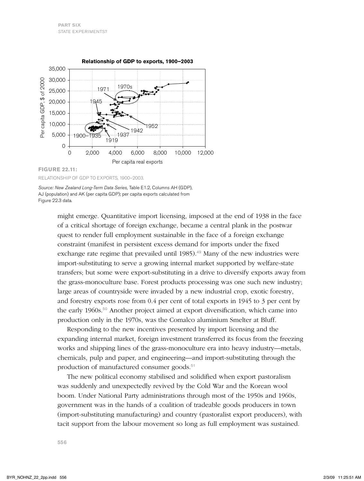

## **Figure 22.11:**

Relationship of GDP to exports, 1900–2003.

*Source: New Zealand Long-Term Data Series,* Table E1.2, Columns AH (GDP), AJ (population) and AK (per capita GDP); per capita exports calculated from Figure 22.3 data.

> might emerge. Quantitative import licensing, imposed at the end of 1938 in the face of a critical shortage of foreign exchange, became a central plank in the postwar quest to render full employment sustainable in the face of a foreign exchange constraint (manifest in persistent excess demand for imports under the fixed exchange rate regime that prevailed until 1985).<sup>49</sup> Many of the new industries were import-substituting to serve a growing internal market supported by welfare-state transfers; but some were export-substituting in a drive to diversify exports away from the grass-monoculture base. Forest products processing was one such new industry; large areas of countryside were invaded by a new industrial crop, exotic forestry, and forestry exports rose from 0.4 per cent of total exports in 1945 to 3 per cent by the early 1960s.<sup>50</sup> Another project aimed at export diversification, which came into production only in the 1970s, was the Comalco aluminium smelter at Bluff.

> Responding to the new incentives presented by import licensing and the expanding internal market, foreign investment transferred its focus from the freezing works and shipping lines of the grass-monoculture era into heavy industry—metals, chemicals, pulp and paper, and engineering—and import-substituting through the production of manufactured consumer goods.<sup>51</sup>

> The new political economy stabilised and solidified when export pastoralism was suddenly and unexpectedly revived by the Cold War and the Korean wool boom. Under National Party administrations through most of the 1950s and 1960s, government was in the hands of a coalition of tradeable goods producers in town (import-substituting manufacturing) and country (pastoralist export producers), with tacit support from the labour movement so long as full employment was sustained.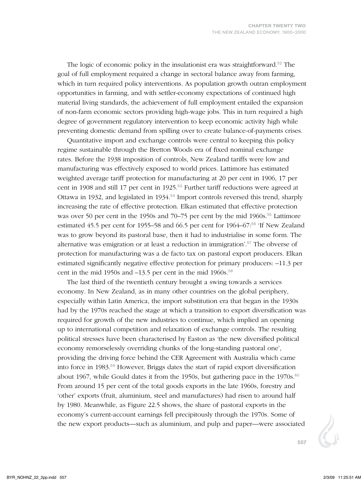The logic of economic policy in the insulationist era was straightforward.<sup>52</sup> The goal of full employment required a change in sectoral balance away from farming, which in turn required policy interventions. As population growth outran employment opportunities in farming, and with settler-economy expectations of continued high material living standards, the achievement of full employment entailed the expansion of non-farm economic sectors providing high-wage jobs. This in turn required a high degree of government regulatory intervention to keep economic activity high while preventing domestic demand from spilling over to create balance-of-payments crises.

Quantitative import and exchange controls were central to keeping this policy regime sustainable through the Bretton Woods era of fixed nominal exchange rates. Before the 1938 imposition of controls, New Zealand tariffs were low and manufacturing was effectively exposed to world prices. Lattimore has estimated weighted average tariff protection for manufacturing at 20 per cent in 1906, 17 per cent in 1908 and still 17 per cent in 1925.<sup>53</sup> Further tariff reductions were agreed at Ottawa in 1932, and legislated in  $1934$ .<sup>54</sup> Import controls reversed this trend, sharply increasing the rate of effective protection. Elkan estimated that effective protection was over 50 per cent in the 1950s and 70–75 per cent by the mid 1960s.<sup>55</sup> Lattimore estimated 45.5 per cent for 1955–58 and 66.5 per cent for 1964–67:<sup>56</sup> 'If New Zealand was to grow beyond its pastoral base, then it had to industrialise in some form. The alternative was emigration or at least a reduction in immigration'.<sup>57</sup> The obverse of protection for manufacturing was a de facto tax on pastoral export producers. Elkan estimated significantly negative effective protection for primary producers: –11.3 per cent in the mid 1950s and  $-13.5$  per cent in the mid 1960s.<sup>58</sup>

The last third of the twentieth century brought a swing towards a services economy. In New Zealand, as in many other countries on the global periphery, especially within Latin America, the import substitution era that began in the 1930s had by the 1970s reached the stage at which a transition to export diversification was required for growth of the new industries to continue, which implied an opening up to international competition and relaxation of exchange controls. The resulting political stresses have been characterised by Easton as 'the new diversified political economy remorselessly overriding chunks of the long-standing pastoral one', providing the driving force behind the CER Agreement with Australia which came into force in 1983.<sup>59</sup> However, Briggs dates the start of rapid export diversification about 1967, while Gould dates it from the 1950s, but gathering pace in the 1970s. $60$ From around 15 per cent of the total goods exports in the late 1960s, forestry and 'other' exports (fruit, aluminium, steel and manufactures) had risen to around half by 1980. Meanwhile, as Figure 22.5 shows, the share of pastoral exports in the economy's current-account earnings fell precipitously through the 1970s. Some of the new export products—such as aluminium, and pulp and paper—were associated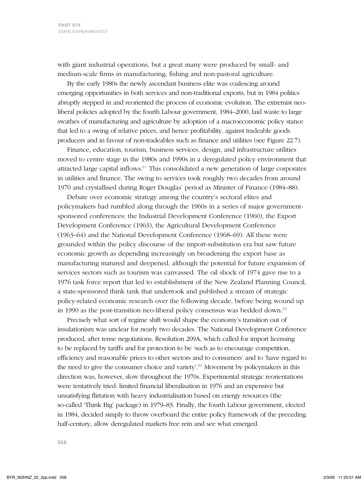with giant industrial operations, but a great many were produced by small- and medium-scale firms in manufacturing, fishing and non-pastoral agriculture.

By the early 1980s the newly ascendant business elite was coalescing around emerging opportunities in both services and non-traditional exports, but in 1984 politics abruptly stepped in and reoriented the process of economic evolution. The extremist neoliberal policies adopted by the fourth Labour government, 1984–2000, laid waste to large swathes of manufacturing and agriculture by adoption of a macroeconomic policy stance that led to a swing of relative prices, and hence profitability, against tradeable goods producers and in favour of non-tradeables such as finance and utilities (see Figure 22.7).

Finance, education, tourism, business services, design, and infrastructure utilities moved to centre stage in the 1980s and 1990s in a deregulated policy environment that attracted large capital inflows. $61$  This consolidated a new generation of large corporates in utilities and finance. The swing to services took roughly two decades from around 1970 and crystallised during Roger Douglas' period as Minister of Finance (1984–88).

Debate over economic strategy among the country's sectoral elites and policymakers had rumbled along through the 1960s in a series of major governmentsponsored conferences: the Industrial Development Conference (1960), the Export Development Conference (1963), the Agricultural Development Conference (1963–64) and the National Development Conference (1968–69). All these were grounded within the policy discourse of the import-substitution era but saw future economic growth as depending increasingly on broadening the export base as manufacturing matured and deepened, although the potential for future expansion of services sectors such as tourism was canvassed. The oil shock of 1974 gave rise to a 1976 task force report that led to establishment of the New Zealand Planning Council, a state-sponsored think tank that undertook and published a stream of strategic policy-related economic research over the following decade, before being wound up in 1990 as the post-transition neo-liberal policy consensus was bedded down.<sup>62</sup>

Precisely what sort of regime shift would shape the economy's transition out of insulationism was unclear for nearly two decades. The National Development Conference produced, after tense negotiations, Resolution 209A, which called for import licensing to be replaced by tariffs and for protection to be 'such as to encourage competition, efficiency and reasonable prices to other sectors and to consumers' and to 'have regard to the need to give the consumer choice and variety'.<sup>63</sup> Movement by policymakers in this direction was, however, slow throughout the 1970s. Experimental strategic reorientations were tentatively tried: limited financial liberalisation in 1976 and an expensive but unsatisfying flirtation with heavy industrialisation based on energy resources (the so-called 'Think Big' package) in 1979–83. Finally, the fourth Labour government, elected in 1984, decided simply to throw overboard the entire policy framework of the preceding half-century, allow deregulated markets free rein and see what emerged.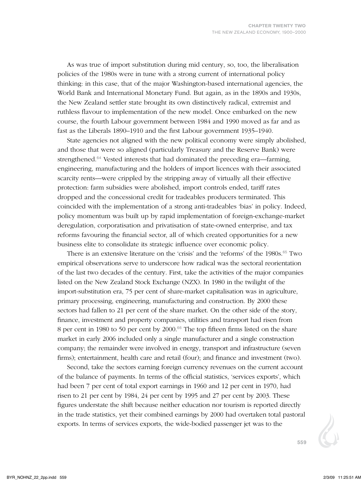As was true of import substitution during mid century, so, too, the liberalisation policies of the 1980s were in tune with a strong current of international policy thinking: in this case, that of the major Washington-based international agencies, the World Bank and International Monetary Fund. But again, as in the 1890s and 1930s, the New Zealand settler state brought its own distinctively radical, extremist and ruthless flavour to implementation of the new model. Once embarked on the new course, the fourth Labour government between 1984 and 1990 moved as far and as fast as the Liberals 1890–1910 and the first Labour government 1935–1940.

State agencies not aligned with the new political economy were simply abolished, and those that were so aligned (particularly Treasury and the Reserve Bank) were strengthened.<sup>64</sup> Vested interests that had dominated the preceding era—farming, engineering, manufacturing and the holders of import licences with their associated scarcity rents—were crippled by the stripping away of virtually all their effective protection: farm subsidies were abolished, import controls ended, tariff rates dropped and the concessional credit for tradeables producers terminated. This coincided with the implementation of a strong anti-tradeables 'bias' in policy. Indeed, policy momentum was built up by rapid implementation of foreign-exchange-market deregulation, corporatisation and privatisation of state-owned enterprise, and tax reforms favouring the financial sector, all of which created opportunities for a new business elite to consolidate its strategic influence over economic policy.

There is an extensive literature on the 'crisis' and the 'reforms' of the 1980s.<sup>65</sup> Two empirical observations serve to underscore how radical was the sectoral reorientation of the last two decades of the century. First, take the activities of the major companies listed on the New Zealand Stock Exchange (NZX). In 1980 in the twilight of the import-substitution era, 75 per cent of share-market capitalisation was in agriculture, primary processing, engineering, manufacturing and construction. By 2000 these sectors had fallen to 21 per cent of the share market. On the other side of the story, finance, investment and property companies, utilities and transport had risen from 8 per cent in 1980 to 50 per cent by 2000.<sup>66</sup> The top fifteen firms listed on the share market in early 2006 included only a single manufacturer and a single construction company; the remainder were involved in energy, transport and infrastructure (seven firms); entertainment, health care and retail (four); and finance and investment (two).

Second, take the sectors earning foreign currency revenues on the current account of the balance of payments. In terms of the official statistics, 'services exports', which had been 7 per cent of total export earnings in 1960 and 12 per cent in 1970, had risen to 21 per cent by 1984, 24 per cent by 1995 and 27 per cent by 2003. These figures understate the shift because neither education nor tourism is reported directly in the trade statistics, yet their combined earnings by 2000 had overtaken total pastoral exports. In terms of services exports, the wide-bodied passenger jet was to the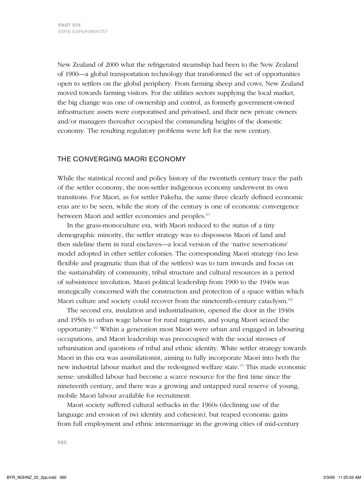New Zealand of 2000 what the refrigerated steamship had been to the New Zealand of 1900—a global transportation technology that transformed the set of opportunities open to settlers on the global periphery. From farming sheep and cows, New Zealand moved towards farming visitors. For the utilities sectors supplying the local market, the big change was one of ownership and control, as formerly government-owned infrastructure assets were corporatised and privatised, and their new private owners and/or managers thereafter occupied the commanding heights of the domestic economy. The resulting regulatory problems were left for the new century.

## THE CONVERGING MAORI ECONOMY

While the statistical record and policy history of the twentieth century trace the path of the settler economy, the non-settler indigenous economy underwent its own transitions. For Maori, as for settler Pakeha, the same three clearly defined economic eras are to be seen, while the story of the century is one of economic convergence between Maori and settler economies and peoples.<sup>67</sup>

In the grass-monoculture era, with Maori reduced to the status of a tiny demographic minority, the settler strategy was to dispossess Maori of land and then sideline them in rural enclaves—a local version of the 'native reservations' model adopted in other settler colonies. The corresponding Maori strategy (no less flexible and pragmatic than that of the settlers) was to turn inwards and focus on the sustainability of community, tribal structure and cultural resources in a period of subsistence involution. Maori political leadership from 1900 to the 1940s was strategically concerned with the construction and protection of a space within which Maori culture and society could recover from the nineteenth-century cataclysm.<sup>68</sup>

The second era, insulation and industrialisation, opened the door in the 1940s and 1950s to urban wage labour for rural migrants, and young Maori seized the opportunity.<sup>69</sup> Within a generation most Maori were urban and engaged in labouring occupations, and Maori leadership was preoccupied with the social stresses of urbanisation and questions of tribal and ethnic identity. White settler strategy towards Maori in this era was assimilationist, aiming to fully incorporate Maori into both the new industrial labour market and the redesigned welfare state.<sup>70</sup> This made economic sense: unskilled labour had become a scarce resource for the first time since the nineteenth century, and there was a growing and untapped rural reserve of young, mobile Maori labour available for recruitment.

Maori society suffered cultural setbacks in the 1960s (declining use of the language and erosion of iwi identity and cohesion), but reaped economic gains from full employment and ethnic intermarriage in the growing cities of mid-century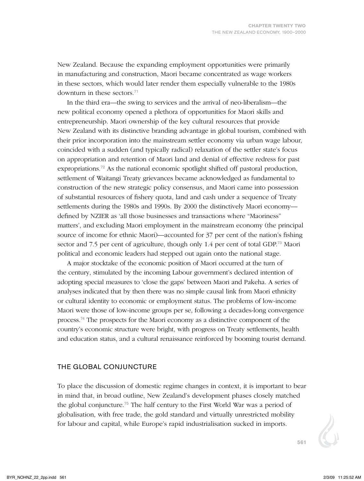New Zealand. Because the expanding employment opportunities were primarily in manufacturing and construction, Maori became concentrated as wage workers in these sectors, which would later render them especially vulnerable to the 1980s downturn in these sectors.<sup>71</sup>

In the third era—the swing to services and the arrival of neo-liberalism—the new political economy opened a plethora of opportunities for Maori skills and entrepreneurship. Maori ownership of the key cultural resources that provide New Zealand with its distinctive branding advantage in global tourism, combined with their prior incorporation into the mainstream settler economy via urban wage labour, coincided with a sudden (and typically radical) relaxation of the settler state's focus on appropriation and retention of Maori land and denial of effective redress for past expropriations.<sup>72</sup> As the national economic spotlight shifted off pastoral production, settlement of Waitangi Treaty grievances became acknowledged as fundamental to construction of the new strategic policy consensus, and Maori came into possession of substantial resources of fishery quota, land and cash under a sequence of Treaty settlements during the 1980s and 1990s. By 2000 the distinctively Maori economy defined by NZIER as 'all those businesses and transactions where "Maoriness" matters', and excluding Maori employment in the mainstream economy (the principal source of income for ethnic Maori)—accounted for 37 per cent of the nation's fishing sector and 7.5 per cent of agriculture, though only 1.4 per cent of total GDP.<sup>73</sup> Maori political and economic leaders had stepped out again onto the national stage.

A major stocktake of the economic position of Maori occurred at the turn of the century, stimulated by the incoming Labour government's declared intention of adopting special measures to 'close the gaps' between Maori and Pakeha. A series of analyses indicated that by then there was no simple causal link from Maori ethnicity or cultural identity to economic or employment status. The problems of low-income Maori were those of low-income groups per se, following a decades-long convergence process.<sup>74</sup> The prospects for the Maori economy as a distinctive component of the country's economic structure were bright, with progress on Treaty settlements, health and education status, and a cultural renaissance reinforced by booming tourist demand.

## THE GLOBAL CONJUNCTURE

To place the discussion of domestic regime changes in context, it is important to bear in mind that, in broad outline, New Zealand's development phases closely matched the global conjuncture.<sup>75</sup> The half century to the First World War was a period of globalisation, with free trade, the gold standard and virtually unrestricted mobility for labour and capital, while Europe's rapid industrialisation sucked in imports.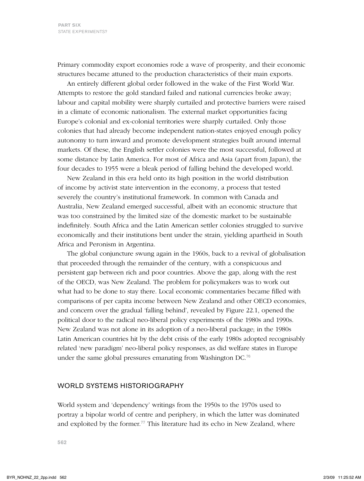Primary commodity export economies rode a wave of prosperity, and their economic structures became attuned to the production characteristics of their main exports.

An entirely different global order followed in the wake of the First World War. Attempts to restore the gold standard failed and national currencies broke away; labour and capital mobility were sharply curtailed and protective barriers were raised in a climate of economic nationalism. The external market opportunities facing Europe's colonial and ex-colonial territories were sharply curtailed. Only those colonies that had already become independent nation-states enjoyed enough policy autonomy to turn inward and promote development strategies built around internal markets. Of these, the English settler colonies were the most successful, followed at some distance by Latin America. For most of Africa and Asia (apart from Japan), the four decades to 1955 were a bleak period of falling behind the developed world.

New Zealand in this era held onto its high position in the world distribution of income by activist state intervention in the economy, a process that tested severely the country's institutional framework. In common with Canada and Australia, New Zealand emerged successful, albeit with an economic structure that was too constrained by the limited size of the domestic market to be sustainable indefinitely. South Africa and the Latin American settler colonies struggled to survive economically and their institutions bent under the strain, yielding apartheid in South Africa and Peronism in Argentina.

The global conjuncture swung again in the 1960s, back to a revival of globalisation that proceeded through the remainder of the century, with a conspicuous and persistent gap between rich and poor countries. Above the gap, along with the rest of the OECD, was New Zealand. The problem for policymakers was to work out what had to be done to stay there. Local economic commentaries became filled with comparisons of per capita income between New Zealand and other OECD economies, and concern over the gradual 'falling behind', revealed by Figure 22.1, opened the political door to the radical neo-liberal policy experiments of the 1980s and 1990s. New Zealand was not alone in its adoption of a neo-liberal package; in the 1980s Latin American countries hit by the debt crisis of the early 1980s adopted recognisably related 'new paradigm' neo-liberal policy responses, as did welfare states in Europe under the same global pressures emanating from Washington DC.<sup>76</sup>

#### WORLD SYSTEMS HISTORIOGRAPHY

World system and 'dependency' writings from the 1950s to the 1970s used to portray a bipolar world of centre and periphery, in which the latter was dominated and exploited by the former.<sup>77</sup> This literature had its echo in New Zealand, where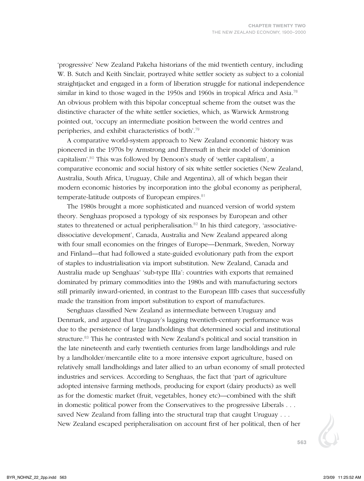'progressive' New Zealand Pakeha historians of the mid twentieth century, including W. B. Sutch and Keith Sinclair, portrayed white settler society as subject to a colonial straightjacket and engaged in a form of liberation struggle for national independence similar in kind to those waged in the 1950s and 1960s in tropical Africa and Asia.<sup>78</sup> An obvious problem with this bipolar conceptual scheme from the outset was the distinctive character of the white settler societies, which, as Warwick Armstrong pointed out, 'occupy an intermediate position between the world centres and peripheries, and exhibit characteristics of both'.<sup>79</sup>

A comparative world-system approach to New Zealand economic history was pioneered in the 1970s by Armstrong and Ehrensaft in their model of 'dominion capitalism'.<sup>80</sup> This was followed by Denoon's study of 'settler capitalism', a comparative economic and social history of six white settler societies (New Zealand, Australia, South Africa, Uruguay, Chile and Argentina), all of which began their modern economic histories by incorporation into the global economy as peripheral, temperate-latitude outposts of European empires.<sup>81</sup>

The 1980s brought a more sophisticated and nuanced version of world system theory. Senghaas proposed a typology of six responses by European and other states to threatened or actual peripheralisation.<sup>82</sup> In his third category, 'associativedissociative development', Canada, Australia and New Zealand appeared along with four small economies on the fringes of Europe—Denmark, Sweden, Norway and Finland—that had followed a state-guided evolutionary path from the export of staples to industrialisation via import substitution. New Zealand, Canada and Australia made up Senghaas' 'sub-type IIIa': countries with exports that remained dominated by primary commodities into the 1980s and with manufacturing sectors still primarily inward-oriented, in contrast to the European IIIb cases that successfully made the transition from import substitution to export of manufactures.

Senghaas classified New Zealand as intermediate between Uruguay and Denmark, and argued that Uruguay's lagging twentieth-century performance was due to the persistence of large landholdings that determined social and institutional structure.<sup>83</sup> This he contrasted with New Zealand's political and social transition in the late nineteenth and early twentieth centuries from large landholdings and rule by a landholder/mercantile elite to a more intensive export agriculture, based on relatively small landholdings and later allied to an urban economy of small protected industries and services. According to Senghaas, the fact that 'part of agriculture adopted intensive farming methods, producing for export (dairy products) as well as for the domestic market (fruit, vegetables, honey etc)—combined with the shift in domestic political power from the Conservatives to the progressive Liberals . . . saved New Zealand from falling into the structural trap that caught Uruguay . . . New Zealand escaped peripheralisation on account first of her political, then of her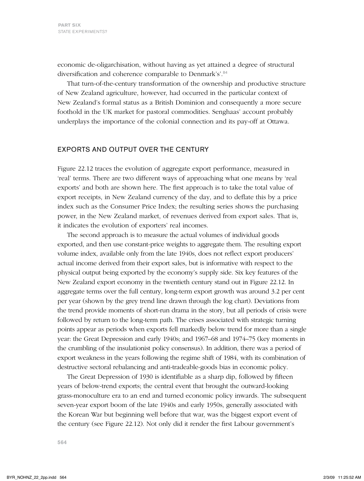economic de-oligarchisation, without having as yet attained a degree of structural diversification and coherence comparable to Denmark's'.<sup>84</sup>

That turn-of-the-century transformation of the ownership and productive structure of New Zealand agriculture, however, had occurred in the particular context of New Zealand's formal status as a British Dominion and consequently a more secure foothold in the UK market for pastoral commodities. Senghaas' account probably underplays the importance of the colonial connection and its pay-off at Ottawa.

## EXPORTS AND OUTPUT OVER THE CENTURY

Figure 22.12 traces the evolution of aggregate export performance, measured in 'real' terms. There are two different ways of approaching what one means by 'real exports' and both are shown here. The first approach is to take the total value of export receipts, in New Zealand currency of the day, and to deflate this by a price index such as the Consumer Price Index; the resulting series shows the purchasing power, in the New Zealand market, of revenues derived from export sales. That is, it indicates the evolution of exporters' real incomes.

The second approach is to measure the actual volumes of individual goods exported, and then use constant-price weights to aggregate them. The resulting export volume index, available only from the late 1940s, does not reflect export producers' actual income derived from their export sales, but is informative with respect to the physical output being exported by the economy's supply side. Six key features of the New Zealand export economy in the twentieth century stand out in Figure 22.12. In aggregate terms over the full century, long-term export growth was around 3.2 per cent per year (shown by the grey trend line drawn through the log chart). Deviations from the trend provide moments of short-run drama in the story, but all periods of crisis were followed by return to the long-term path. The crises associated with strategic turning points appear as periods when exports fell markedly below trend for more than a single year: the Great Depression and early 1940s; and 1967–68 and 1974–75 (key moments in the crumbling of the insulationist policy consensus). In addition, there was a period of export weakness in the years following the regime shift of 1984, with its combination of destructive sectoral rebalancing and anti-tradeable-goods bias in economic policy.

The Great Depression of 1930 is identifiable as a sharp dip, followed by fifteen years of below-trend exports; the central event that brought the outward-looking grass-monoculture era to an end and turned economic policy inwards. The subsequent seven-year export boom of the late 1940s and early 1950s, generally associated with the Korean War but beginning well before that war, was the biggest export event of the century (see Figure 22.12). Not only did it render the first Labour government's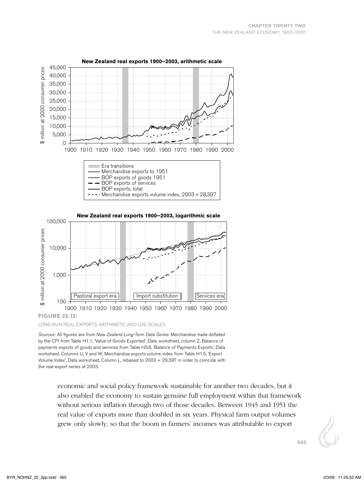

#### **New Zealand real exports 1900–2003, arithmetic scale**

Long-run real exports, arithmetic and log scales.

*Sources:* All figures are from *New Zealand Long-Term Data Series*: Merchandise trade deflated by the CPI from Table H1.1, 'Value of Goods Exported', Data worksheet, column Z; Balance of payments exports of goods and services from Table H3.6, 'Balance of Payments Exports', Data worksheet, Columns U, V and W; Merchandise exports volume index from Table H1.5, 'Export Volume Index', Data worksheet, Column L, rebased to 2003 = 29,397 in order to coincide with the real-export series at 2003.

> economic and social policy framework sustainable for another two decades, but it also enabled the economy to sustain genuine full employment within that framework without serious inflation through two of those decades. Between 1945 and 1951 the real value of exports more than doubled in six years. Physical farm output volumes grew only slowly, so that the boom in farmers' incomes was attributable to export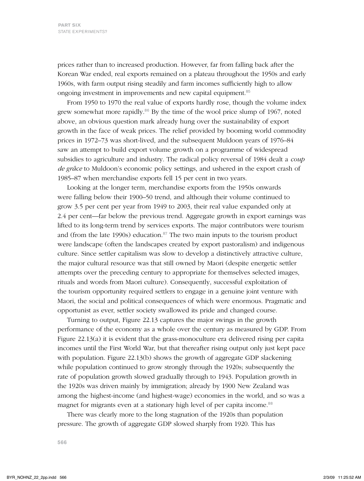prices rather than to increased production. However, far from falling back after the Korean War ended, real exports remained on a plateau throughout the 1950s and early 1960s, with farm output rising steadily and farm incomes sufficiently high to allow ongoing investment in improvements and new capital equipment.<sup>85</sup>

From 1950 to 1970 the real value of exports hardly rose, though the volume index grew somewhat more rapidly. $86$  By the time of the wool price slump of 1967, noted above, an obvious question mark already hung over the sustainability of export growth in the face of weak prices. The relief provided by booming world commodity prices in 1972–73 was short-lived, and the subsequent Muldoon years of 1976–84 saw an attempt to build export volume growth on a programme of widespread subsidies to agriculture and industry. The radical policy reversal of 1984 dealt a *coup de grâce* to Muldoon's economic policy settings, and ushered in the export crash of 1985–87 when merchandise exports fell 15 per cent in two years.

Looking at the longer term, merchandise exports from the 1950s onwards were falling below their 1900–50 trend, and although their volume continued to grow 3.5 per cent per year from 1949 to 2003, their real value expanded only at 2.4 per cent—far below the previous trend. Aggregate growth in export earnings was lifted to its long-term trend by services exports. The major contributors were tourism and (from the late 1990s) education. $87$  The two main inputs to the tourism product were landscape (often the landscapes created by export pastoralism) and indigenous culture. Since settler capitalism was slow to develop a distinctively attractive culture, the major cultural resource was that still owned by Maori (despite energetic settler attempts over the preceding century to appropriate for themselves selected images, rituals and words from Maori culture). Consequently, successful exploitation of the tourism opportunity required settlers to engage in a genuine joint venture with Maori, the social and political consequences of which were enormous. Pragmatic and opportunist as ever, settler society swallowed its pride and changed course.

Turning to output, Figure 22.13 captures the major swings in the growth performance of the economy as a whole over the century as measured by GDP. From Figure 22.13(a) it is evident that the grass-monoculture era delivered rising per capita incomes until the First World War, but that thereafter rising output only just kept pace with population. Figure 22.13(b) shows the growth of aggregate GDP slackening while population continued to grow strongly through the 1920s; subsequently the rate of population growth slowed gradually through to 1943. Population growth in the 1920s was driven mainly by immigration; already by 1900 New Zealand was among the highest-income (and highest-wage) economies in the world, and so was a magnet for migrants even at a stationary high level of per capita income.<sup>88</sup>

There was clearly more to the long stagnation of the 1920s than population pressure. The growth of aggregate GDP slowed sharply from 1920. This has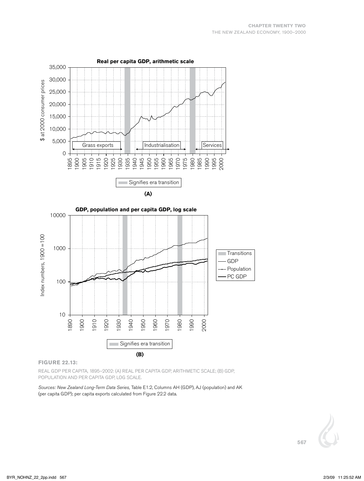



#### **Figure 22.13:**

Real GDP per capita, 1895–2002: (a) real per capita GDP, arithmetic scale; (b) GDP, population and per capita GDP, log scale.

*Sources: New Zealand Long-Term Data Series,* Table E1.2, Columns AH (GDP), AJ (population) and AK (per capita GDP); per capita exports calculated from Figure 22.2 data.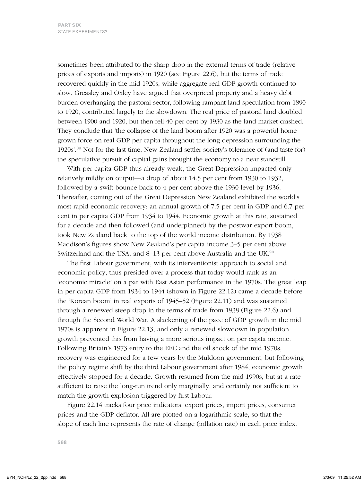sometimes been attributed to the sharp drop in the external terms of trade (relative prices of exports and imports) in 1920 (see Figure 22.6), but the terms of trade recovered quickly in the mid 1920s, while aggregate real GDP growth continued to slow. Greasley and Oxley have argued that overpriced property and a heavy debt burden overhanging the pastoral sector, following rampant land speculation from 1890 to 1920, contributed largely to the slowdown. The real price of pastoral land doubled between 1900 and 1920, but then fell 40 per cent by 1930 as the land market crashed. They conclude that 'the collapse of the land boom after 1920 was a powerful home grown force on real GDP per capita throughout the long depression surrounding the 1920s'.<sup>89</sup> Not for the last time, New Zealand settler society's tolerance of (and taste for) the speculative pursuit of capital gains brought the economy to a near standstill.

With per capita GDP thus already weak, the Great Depression impacted only relatively mildly on output—a drop of about 14.5 per cent from 1930 to 1932, followed by a swift bounce back to 4 per cent above the 1930 level by 1936. Thereafter, coming out of the Great Depression New Zealand exhibited the world's most rapid economic recovery: an annual growth of 7.5 per cent in GDP and 6.7 per cent in per capita GDP from 1934 to 1944. Economic growth at this rate, sustained for a decade and then followed (and underpinned) by the postwar export boom, took New Zealand back to the top of the world income distribution. By 1938 Maddison's figures show New Zealand's per capita income 3–5 per cent above Switzerland and the USA, and 8–13 per cent above Australia and the UK.<sup>90</sup>

The first Labour government, with its interventionist approach to social and economic policy, thus presided over a process that today would rank as an 'economic miracle' on a par with East Asian performance in the 1970s. The great leap in per capita GDP from 1934 to 1944 (shown in Figure 22.12) came a decade before the 'Korean boom' in real exports of 1945–52 (Figure 22.11) and was sustained through a renewed steep drop in the terms of trade from 1938 (Figure 22.6) and through the Second World War. A slackening of the pace of GDP growth in the mid 1970s is apparent in Figure 22.13, and only a renewed slowdown in population growth prevented this from having a more serious impact on per capita income. Following Britain's 1973 entry to the EEC and the oil shock of the mid 1970s, recovery was engineered for a few years by the Muldoon government, but following the policy regime shift by the third Labour government after 1984, economic growth effectively stopped for a decade. Growth resumed from the mid 1990s, but at a rate sufficient to raise the long-run trend only marginally, and certainly not sufficient to match the growth explosion triggered by first Labour.

Figure 22.14 tracks four price indicators: export prices, import prices, consumer prices and the GDP deflator. All are plotted on a logarithmic scale, so that the slope of each line represents the rate of change (inflation rate) in each price index.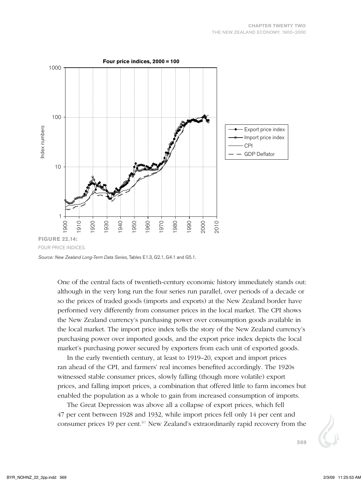

*Source: New Zealand Long-Term Data Series*, Tables E1.3, G2.1, G4.1 and G5.1.

One of the central facts of twentieth-century economic history immediately stands out: although in the very long run the four series run parallel, over periods of a decade or so the prices of traded goods (imports and exports) at the New Zealand border have performed very differently from consumer prices in the local market. The CPI shows the New Zealand currency's purchasing power over consumption goods available in the local market. The import price index tells the story of the New Zealand currency's purchasing power over imported goods, and the export price index depicts the local market's purchasing power secured by exporters from each unit of exported goods.

In the early twentieth century, at least to 1919–20, export and import prices ran ahead of the CPI, and farmers' real incomes benefited accordingly. The 1920s witnessed stable consumer prices, slowly falling (though more volatile) export prices, and falling import prices, a combination that offered little to farm incomes but enabled the population as a whole to gain from increased consumption of imports.

The Great Depression was above all a collapse of export prices, which fell 47 per cent between 1928 and 1932, while import prices fell only 14 per cent and consumer prices 19 per cent. $9<sup>1</sup>$  New Zealand's extraordinarily rapid recovery from the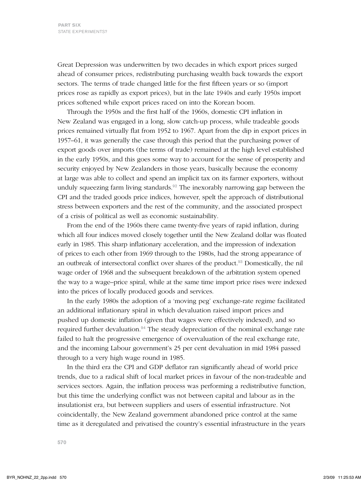Great Depression was underwritten by two decades in which export prices surged ahead of consumer prices, redistributing purchasing wealth back towards the export sectors. The terms of trade changed little for the first fifteen years or so (import prices rose as rapidly as export prices), but in the late 1940s and early 1950s import prices softened while export prices raced on into the Korean boom.

Through the 1950s and the first half of the 1960s, domestic CPI inflation in New Zealand was engaged in a long, slow catch-up process, while tradeable goods prices remained virtually flat from 1952 to 1967. Apart from the dip in export prices in 1957–61, it was generally the case through this period that the purchasing power of export goods over imports (the terms of trade) remained at the high level established in the early 1950s, and this goes some way to account for the sense of prosperity and security enjoyed by New Zealanders in those years, basically because the economy at large was able to collect and spend an implicit tax on its farmer exporters, without unduly squeezing farm living standards.<sup>92</sup> The inexorably narrowing gap between the CPI and the traded goods price indices, however, spelt the approach of distributional stress between exporters and the rest of the community, and the associated prospect of a crisis of political as well as economic sustainability.

From the end of the 1960s there came twenty-five years of rapid inflation, during which all four indices moved closely together until the New Zealand dollar was floated early in 1985. This sharp inflationary acceleration, and the impression of indexation of prices to each other from 1969 through to the 1980s, had the strong appearance of an outbreak of intersectoral conflict over shares of the product.<sup>93</sup> Domestically, the nil wage order of 1968 and the subsequent breakdown of the arbitration system opened the way to a wage–price spiral, while at the same time import price rises were indexed into the prices of locally produced goods and services.

In the early 1980s the adoption of a 'moving peg' exchange-rate regime facilitated an additional inflationary spiral in which devaluation raised import prices and pushed up domestic inflation (given that wages were effectively indexed), and so required further devaluation.<sup>94</sup> The steady depreciation of the nominal exchange rate failed to halt the progressive emergence of overvaluation of the real exchange rate, and the incoming Labour government's 25 per cent devaluation in mid 1984 passed through to a very high wage round in 1985.

In the third era the CPI and GDP deflator ran significantly ahead of world price trends, due to a radical shift of local market prices in favour of the non-tradeable and services sectors. Again, the inflation process was performing a redistributive function, but this time the underlying conflict was not between capital and labour as in the insulationist era, but between suppliers and users of essential infrastructure. Not coincidentally, the New Zealand government abandoned price control at the same time as it deregulated and privatised the country's essential infrastructure in the years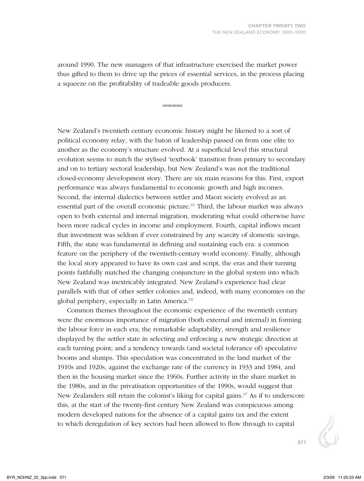around 1990. The new managers of that infrastructure exercised the market power thus gifted to them to drive up the prices of essential services, in the process placing a squeeze on the profitability of tradeable goods producers.

..................

New Zealand's twentieth century economic history might be likened to a sort of political economy relay, with the baton of leadership passed on from one elite to another as the economy's structure evolved. At a superficial level this structural evolution seems to match the stylised 'textbook' transition from primary to secondary and on to tertiary sectoral leadership, but New Zealand's was not the traditional closed-economy development story. There are six main reasons for this. First, export performance was always fundamental to economic growth and high incomes. Second, the internal dialectics between settler and Maori society evolved as an essential part of the overall economic picture.<sup>95</sup> Third, the labour market was always open to both external and internal migration, moderating what could otherwise have been more radical cycles in income and employment. Fourth, capital inflows meant that investment was seldom if ever constrained by any scarcity of domestic savings. Fifth, the state was fundamental in defining and sustaining each era: a common feature on the periphery of the twentieth-century world economy. Finally, although the local story appeared to have its own cast and script, the eras and their turning points faithfully matched the changing conjuncture in the global system into which New Zealand was inextricably integrated. New Zealand's experience had clear parallels with that of other settler colonies and, indeed, with many economies on the global periphery, especially in Latin America.<sup>96</sup>

Common themes throughout the economic experience of the twentieth century were the enormous importance of migration (both external and internal) in forming the labour force in each era; the remarkable adaptability, strength and resilience displayed by the settler state in selecting and enforcing a new strategic direction at each turning point; and a tendency towards (and societal tolerance of) speculative booms and slumps. This speculation was concentrated in the land market of the 1910s and 1920s, against the exchange rate of the currency in 1933 and 1984, and then in the housing market since the 1960s. Further activity in the share market in the 1980s, and in the privatisation opportunities of the 1990s, would suggest that New Zealanders still retain the colonist's liking for capital gains. $97$  As if to underscore this, at the start of the twenty-first century New Zealand was conspicuous among modern developed nations for the absence of a capital gains tax and the extent to which deregulation of key sectors had been allowed to flow through to capital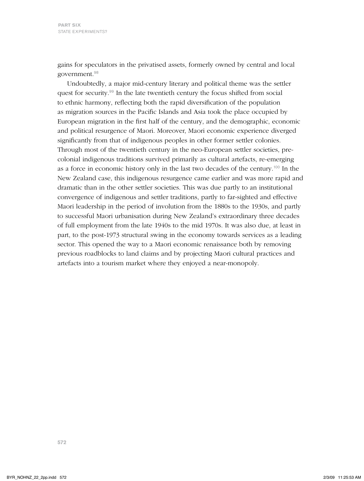gains for speculators in the privatised assets, formerly owned by central and local government.<sup>98</sup>

Undoubtedly, a major mid-century literary and political theme was the settler quest for security.<sup>99</sup> In the late twentieth century the focus shifted from social to ethnic harmony, reflecting both the rapid diversification of the population as migration sources in the Pacific Islands and Asia took the place occupied by European migration in the first half of the century, and the demographic, economic and political resurgence of Maori. Moreover, Maori economic experience diverged significantly from that of indigenous peoples in other former settler colonies. Through most of the twentieth century in the neo-European settler societies, precolonial indigenous traditions survived primarily as cultural artefacts, re-emerging as a force in economic history only in the last two decades of the century.<sup>100</sup> In the New Zealand case, this indigenous resurgence came earlier and was more rapid and dramatic than in the other settler societies. This was due partly to an institutional convergence of indigenous and settler traditions, partly to far-sighted and effective Maori leadership in the period of involution from the 1880s to the 1930s, and partly to successful Maori urbanisation during New Zealand's extraordinary three decades of full employment from the late 1940s to the mid 1970s. It was also due, at least in part, to the post-1973 structural swing in the economy towards services as a leading sector. This opened the way to a Maori economic renaissance both by removing previous roadblocks to land claims and by projecting Maori cultural practices and artefacts into a tourism market where they enjoyed a near-monopoly.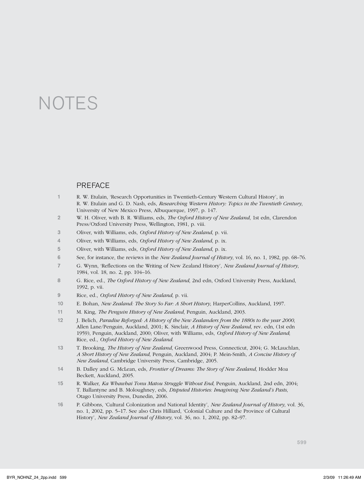# **NOTES**

#### **PREFACE**

- 1 R. W. Etulain, 'Research Opportunities in Twentieth-Century Western Cultural History', in R. W. Etulain and G. D. Nash, eds, *Researching Western History: Topics in the Twentieth Century*, University of New Mexico Press, Albuquerque, 1997, p. 147.
- 2 W. H. Oliver, with B. R. Williams, eds, *The Oxford History of New Zealand*, 1st edn, Clarendon Press/Oxford University Press, Wellington, 1981, p. viii.
- 3 Oliver, with Williams, eds, *Oxford History of New Zealand*, p. vii.
- 4 Oliver, with Williams, eds, *Oxford History of New Zealand*, p. ix.
- 5 Oliver, with Williams, eds, *Oxford History of New Zealand*, p. ix.
- 6 See, for instance, the reviews in the *New Zealand Journal of History*, vol. 16, no. 1, 1982, pp. 68–76.
- 7 G. Wynn, 'Reflections on the Writing of New Zealand History', *New Zealand Journal of History*, 1984, vol. 18, no. 2, pp. 104–16.
- 8 G. Rice, ed., *The Oxford History of New Zealand*, 2nd edn, Oxford University Press, Auckland, 1992, p. vii.
- 9 Rice, ed., *Oxford History of New Zealand*, p. vii.
- 10 E. Bohan, *New Zealand: The Story So Far: A Short History*, HarperCollins, Auckland, 1997.
- 11 M. King, *The Penguin History of New Zealand*, Penguin, Auckland, 2003.
- 12 J. Belich, *Paradise Reforged: A History of the New Zealanders from the 1880s to the year 2000*, Allen Lane/Penguin, Auckland, 2001; K. Sinclair, *A History of New Zealand*, rev. edn, (1st edn 1959), Penguin, Auckland, 2000; Oliver, with Williams, eds, *Oxford History of New Zealand*; Rice, ed., *Oxford History of New Zealand*.
- 13 T. Brooking, *The History of New Zealand*, Greenwood Press, Connecticut, 2004; G. McLauchlan, *A Short History of New Zealand*, Penguin, Auckland, 2004; P. Mein-Smith, *A Concise History of New Zealand*, Cambridge University Press, Cambridge, 2005.
- 14 B. Dalley and G. McLean, eds, *Frontier of Dreams: The Story of New Zealand*, Hodder Moa Beckett, Auckland, 2005.
- 15 R. Walker, *Ka Whawhai Tonu Matou Struggle Without End*, Penguin, Auckland, 2nd edn, 2004; T. Ballantyne and B. Moloughney, eds, *Disputed Histories: Imagining New Zealand's Pasts*, Otago University Press, Dunedin, 2006.
- 16 P. Gibbons, 'Cultural Colonization and National Identity', *New Zealand Journal of History*, vol. 36, no. 1, 2002, pp. 5–17. See also Chris Hilliard, 'Colonial Culture and the Province of Cultural History', *New Zealand Journal of History*, vol. 36, no. 1, 2002, pp. 82–97.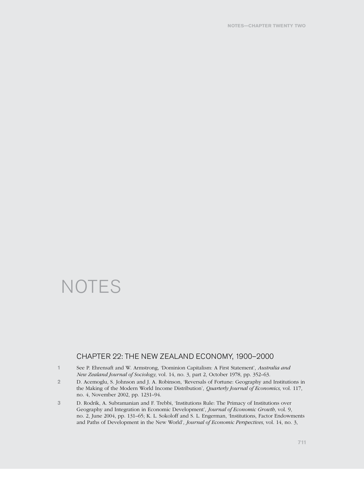## **NOTES**

#### Chapter 22: The New Zealand Economy, 1900–2000

- 1 See P. Ehrensaft and W. Armstrong, 'Dominion Capitalism: A First Statement', *Australia and New Zealand Journal of Sociology*, vol. 14, no. 3, part 2, October 1978, pp. 352–63.
- 2 D. Acemoglu, S. Johnson and J. A. Robinson, 'Reversals of Fortune: Geography and Institutions in the Making of the Modern World Income Distribution', *Quarterly Journal of Economics*, vol. 117, no. 4, November 2002, pp. 1231–94.
- 3 D. Rodrik, A. Subramanian and F. Trebbi, 'Institutions Rule: The Primacy of Institutions over Geography and Integration in Economic Development', *Journal of Economic Growth*, vol. 9, no. 2, June 2004, pp. 131–65; K. L. Sokoloff and S. L. Engerman, 'Institutions, Factor Endowments and Paths of Development in the New World', *Journal of Economic Perspectives*, vol. 14, no. 3,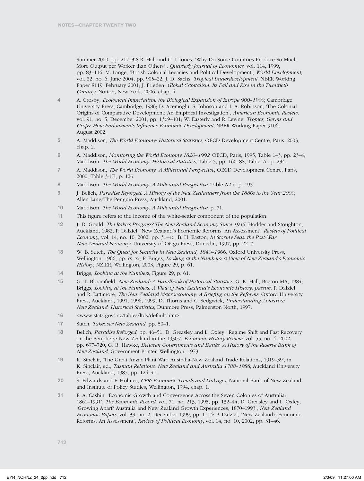Summer 2000, pp. 217–32; R. Hall and C. I. Jones, 'Why Do Some Countries Produce So Much More Output per Worker than Others?', *Quarterly Journal of Economics*, vol*.* 114, 1999, pp. 83–116; M. Lange, 'British Colonial Legacies and Political Development', *World Development*, vol. 32, no. 6, June 2004, pp. 905–22; J. D. Sachs, *Tropical Underdevelopment*, NBER Working Paper 8119, February 2001; J. Frieden, *Global Capitalism: Its Fall and Rise in the Twentieth Century*, Norton, New York, 2006, chap. 4.

- 4 A. Crosby, *Ecological Imperialism: the Biological Expansion of Europe 900–1900*, Cambridge University Press, Cambridge, 1986; D. Acemoglu, S. Johnson and J. A. Robinson, 'The Colonial Origins of Comparative Development: An Empirical Investigation', *American Economic Review*, vol*.* 91, no. 5, December 2001, pp. 1369–401; W. Easterly and R. Levine, *Tropics, Germs and Crops: How Endowments Influence Economic Development*, NBER Working Paper 9106, August 2002.
- 5 A. Maddison, *The World Economy: Historical Statistics*, OECD Development Centre, Paris, 2003, chap. 2.
- 6 A. Maddison, *Monitoring the World Economy 1820–1992*, OECD, Paris, 1995, Table 1–3, pp. 23–4; Maddison, *The World Economy: Historical Statistics*, Table 5, pp. 160–88, Table 7c, p. 234.
- 7 A. Maddison, *The World Economy: A Millennial Perspective*, OECD Development Centre, Paris, 2000, Table 3-1B, p. 126.
- 8 Maddison, *The World Economy: A Millennial Perspective*, Table A2-c, p. 195.
- 9 J. Belich, *Paradise Reforged: A History of the New Zealanders from the 1880s to the Year 2000*, Allen Lane/The Penguin Press, Auckland, 2001.
- 10 Maddison, *The World Economy: A Millennial Perspective*, p. 71.
- 11 This figure refers to the income of the white-settler component of the population.
- 12 J. D. Gould, *The Rake's Progress? The New Zealand Economy Since 1945*, Hodder and Stoughton, Auckland, 1982; P. Dalziel, 'New Zealand's Economic Reforms: An Assessment', *Review of Political Economy*, vol. 14, no. 10, 2002, pp. 31–46; B. H. Easton, *In Stormy Seas: the Post-War New Zealand Economy*, University of Otago Press, Dunedin, 1997, pp. 22–7.
- 13 W. B. Sutch, *The Quest for Security in New Zealand, 1840–1966*, Oxford University Press, Wellington, 1966, pp. ix, xi; P. Briggs, *Looking at the Numbers: a View of New Zealand's Economic History*, NZIER, Wellington, 2003, Figure 29, p. 61.
- 14 Briggs, *Looking at the Numbers*, Figure 29, p. 61.
- 15 G. T. Bloomfield, *New Zealand: A Handbook of Historical Statistics*, G. K. Hall, Boston MA, 1984; Briggs, *Looking at the Numbers: A View of New Zealand's Economic History*, *passim*; P. Dalziel and R. Lattimore, *The New Zealand Macroeconomy: A Briefing on the Reforms*, Oxford University Press, Auckland, 1991, 1996, 1999; D. Thorns and C. Sedgwick, *Understanding Aotearoa/ New Zealand: Historical Statistics*, Dunmore Press, Palmerston North, 1997.
- 16 <www.stats.govt.nz/tables/ltds/default.htm>.
- 17 Sutch, *Takeover New Zealand*, pp. 50–1.
- 18 Belich, *Paradise Reforged*, pp. 46–51; D. Greasley and L. Oxley, 'Regime Shift and Fast Recovery on the Periphery: New Zealand in the 1930s', *Economic History Review*, vol. 55, no. 4, 2002, pp. 697–720; G. R. Hawke, *Between Governments and Banks: A History of the Reserve Bank of New Zealand*, Government Printer, Wellington, 1973.
- 19 K. Sinclair, 'The Great Anzac Plant War: Australia-New Zealand Trade Relations, 1919–39', in K. Sinclair, ed., *Tasman Relations: New Zealand and Australia 1788–1988*, Auckland University Press, Auckland, 1987, pp. 124–41.
- 20 S. Edwards and F. Holmes, *CER: Economic Trends and Linkages*, National Bank of New Zealand and Institute of Policy Studies, Wellington, 1994, chap. 1.
- 21 P. A. Cashin, 'Economic Growth and Convergence Across the Seven Colonies of Australia: 1861–1991', *The Economic Record*, vol. 71, no. 213, 1995, pp. 132–44; D. Greasley and L. Oxley, 'Growing Apart? Australia and New Zealand Growth Experiences, 1870–1993', *New Zealand Economic Papers*, vol. 33, no. 2, December 1999, pp. 1–14; P. Dalziel, 'New Zealand's Economic Reforms: An Assessment', *Review of Political Economy*, vol. 14, no. 10, 2002, pp. 31–46.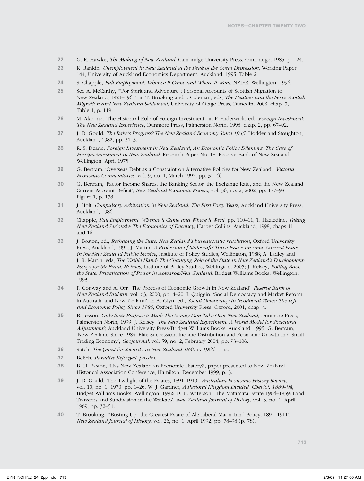- 22 G. R. Hawke, *The Making of New Zealand*, Cambridge University Press, Cambridge, 1985, p. 124.
- 23 K. Rankin, *Unemployment in New Zealand at the Peak of the Great Depression*, Working Paper 144, University of Auckland Economics Department, Auckland, 1995, Table 2.
- 24 S. Chapple, *Full Employment: Whence It Came and Where It Went*, NZIER, Wellington, 1996.
- 25 See A. McCarthy, '"For Spirit and Adventure": Personal Accounts of Scottish Migration to New Zealand, 1921–1961', in T. Brooking and J. Coleman, eds, *The Heather and the Fern: Scottish Migration and New Zealand Settlement*, University of Otago Press, Dunedin, 2003, chap. 7, Table 1, p. 119.
- 26 M. Akoorie, 'The Historical Role of Foreign Investment', in P. Enderwick, ed., *Foreign Investment: The New Zealand Experience*, Dunmore Press, Palmerston North, 1998, chap. 2, pp. 67–92.
- 27 J. D. Gould, *The Rake's Progress? The New Zealand Economy Since 1945*, Hodder and Stoughton, Auckland, 1982, pp. 51–3.
- 28 R. S. Deane, *Foreign Investment in New Zealand*; *An Economic Policy Dilemma: The Case of Foreign investment in New Zealand*, Research Paper No. 18, Reserve Bank of New Zealand, Wellington, April 1975.
- 29 G. Bertram, 'Overseas Debt as a Constraint on Alternative Policies for New Zealand', *Victoria Economic Commentaries*, vol. 9, no. 1, March 1992, pp. 31–46.
- 30 G. Bertram, 'Factor Income Shares, the Banking Sector, the Exchange Rate, and the New Zealand Current Account Deficit', *New Zealand Economic Papers*, vol. 36, no. 2, 2002, pp. 177–98, Figure 1, p. 178.
- 31 J. Holt, *Compulsory Arbitration in New Zealand: The First Forty Years*, Auckland University Press, Auckland, 1986.
- 32 Chapple, *Full Employment: Whence it Came and Where it Went*, pp. 110–11; T. Hazledine, *Taking New Zealand Seriously: The Economics of Decency*, Harper Collins, Auckland, 1998, chaps 11 and 16.
- 33 J. Boston, ed., *Reshaping the State: New Zealand's bureaucratic revolution*, Oxford University Press, Auckland, 1991; J. Martin, *A Profession of Statecraft? Three Essays on some Current Issues in the New Zealand Public Service*, Institute of Policy Studies, Wellington, 1988; A. Ladley and J. R. Martin, eds, *The Visible Hand: The Changing Role of the State in New Zealand's Development: Essays for Sir Frank Holmes*, Institute of Policy Studies, Wellington, 2005; J. Kelsey, *Rolling Back the State: Privatisation of Power in Aotearoa/New Zealand*, Bridget Williams Books, Wellington, 1993.
- 34 P. Conway and A. Orr, 'The Process of Economic Growth in New Zealand', *Reserve Bank of New Zealand Bulletin*, vol. 63, 2000, pp. 4–20; J. Quiggin, 'Social Democracy and Market Reform in Australia and New Zealand', in A. Glyn, ed., *Social Democracy in Neoliberal Times: The Left and Economic Policy Since 1980*, Oxford University Press, Oxford, 2001, chap. 4.
- 35 B. Jesson, *Only their Purpose is Mad: The Money Men Take Over New Zealand*, Dunmore Press, Palmerston North, 1999; J. Kelsey, *The New Zealand Experiment: A World Model for Structural Adjustment?*, Auckland University Press/Bridget Williams Books, Auckland, 1995; G. Bertram, 'New Zealand Since 1984: Elite Succession, Income Distribution and Economic Growth in a Small Trading Economy', *Geojournal*, vol*.* 59, no. 2, February 2004, pp. 93–106.
- 36 Sutch, *The Quest for Security in New Zealand 1840 to 1966*, p. ix.
- 37 Belich, *Paradise Reforged, passim*.
- 38 B. H. Easton, 'Has New Zealand an Economic History?', paper presented to New Zealand Historical Association Conference, Hamilton, December 1999, p. 3.
- 39 J. D. Gould, 'The Twilight of the Estates, 1891–1910', *Australian Economic History Review*, vol. 10, no. 1, 1970, pp. 1–26; W. J. Gardner, *A Pastoral Kingdom Divided: Cheviot, 1889–94*, Bridget Williams Books, Wellington, 1992; D. B. Waterson, 'The Matamata Estate 1904–1959: Land Transfers and Subdivision in the Waikato', *New Zealand Journal of History*, vol. 3, no. 1, April 1969, pp. 32–51.
- 40 T. Brooking, '"Busting Up" the Greatest Estate of All: Liberal Maori Land Policy, 1891–1911', *New Zealand Journal of History*, vol. 26, no. 1, April 1992, pp. 78–98 (p. 78).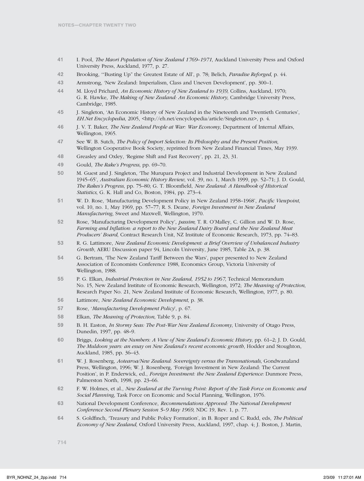- 41 I. Pool, *The Maori Population of New Zealand 1769–1971*, Auckland University Press and Oxford University Press, Auckland, 1977, p. 27.
- 42 Brooking, '"Busting Up" the Greatest Estate of All', p. 78; Belich, *Paradise Reforged*, p. 44.
- 43 Armstrong, 'New Zealand: Imperialism, Class and Uneven Development', pp. 300–1.
- 44 M. Lloyd Prichard, *An Economic History of New Zealand to 1939*, Collins, Auckland, 1970; G. R. Hawke, *The Making of New Zealand: An Economic History*, Cambridge University Press, Cambridge, 1985.
- 45 J. Singleton, 'An Economic History of New Zealand in the Nineteenth and Twentieth Centuries', *EH.Net Encyclopedia*, 2005, <http://eh.net/encyclopedia/article/Singleton.nz>, p. 4.
- 46 J. V. T. Baker, *The New Zealand People at War: War Economy*, Department of Internal Affairs, Wellington, 1965.
- 47 See W. B. Sutch, *The Policy of Import Selection: Its Philosophy and the Present Position*, Wellington Cooperative Book Society, reprinted from New Zealand Financial Times, May 1939.
- 48 Greasley and Oxley, 'Regime Shift and Fast Recovery', pp. 21, 23, 31.
- 49 Gould, *The Rake's Progress*, pp. 69–70.
- 50 M. Guest and J. Singleton, 'The Murupara Project and Industrial Development in New Zealand 1945–65', *Australian Economic History Review*, vol. 39, no. 1, March 1999, pp. 52–71; J. D. Gould, *The Rakes's Progress*, pp. 75–80; G. T. Bloomfield, *New Zealand: A Handbook of Historical Statistics*, G. K. Hall and Co, Boston, 1984, pp. 273–4.
- 51 W. D. Rose, 'Manufacturing Development Policy in New Zealand 1958–1968', *Pacific Viewpoint*, vol. 10, no. 1, May 1969, pp. 57–77; R. S. Deane, *Foreign Investment in New Zealand Manufacturing*, Sweet and Maxwell, Wellington, 1970.
- 52 Rose, 'Manufacturing Development Policy', *passim*; T. R. O'Malley, C. Gillion and W. D. Rose, *Farming and Inflation: a report to the New Zealand Dairy Board and the New Zealand Meat Producers' Board*, Contract Research Unit, NZ Institute of Economic Research, 1973, pp. 74–83.
- 53 R. G. Lattimore, *New Zealand Economic Development: a Brief Overview of Unbalanced Industry Growth*, AERU Discussion paper 94, Lincoln University, June 1985, Table 2A, p. 38.
- 54 G. Bertram, 'The New Zealand Tariff Between the Wars', paper presented to New Zealand Association of Economists Conference 1988, Economics Group, Victoria University of Wellington, 1988.
- 55 P. G. Elkan, *Industrial Protection in New Zealand, 1952 to 1967*, Technical Memorandum No. 15, New Zealand Institute of Economic Research, Wellington, 1972; *The Meaning of Protection*, Research Paper No. 21, New Zealand Institute of Economic Research, Wellington, 1977, p. 80.
- 56 Lattimore, *New Zealand Economic Development*, p. 38.
- 57 Rose, '*Manufacturing Development Policy*', p. 67.
- 58 Elkan, *The Meaning of Protection*, Table 9, p. 84.
- 59 B. H. Easton, *In Stormy Seas: The Post-War New Zealand Economy*, University of Otago Press, Dunedin, 1997, pp. 48–9.
- 60 Briggs, *Looking at the Numbers: A View of New Zealand's Economic History*, pp. 61–2; J. D. Gould, *The Muldoon years: an essay on New Zealand's recent economic growth*, Hodder and Stoughton, Auckland, 1985, pp. 36–43.
- 61 W. J. Rosenberg, *Aotearoa/New Zealand: Sovereignty versus the Transnationals*, Gondwanaland Press, Wellington, 1996; W. J. Rosenberg, 'Foreign Investment in New Zealand: The Current Position', in P. Enderwick, ed., *Foreign Investment: the New Zealand Experience:* Dunmore Press, Palmerston North, 1998, pp. 23–66.
- 62 F. W. Holmes, et al., *New Zealand at the Turning Point: Report of the Task Force on Economic and Social Planning*, Task Force on Economic and Social Planning, Wellington, 1976.
- 63 National Development Conference, *Recommendations Approved: The National Development Conference Second Plenary Session 5–9 May 1969*, NDC 19, Rev. 1, p. 77.
- 64 S. Goldfinch, 'Treasury and Public Policy Formation', in B. Roper and C. Rudd, eds, *The Political Economy of New Zealand*, Oxford University Press, Auckland, 1997, chap. 4; J. Boston, J. Martin,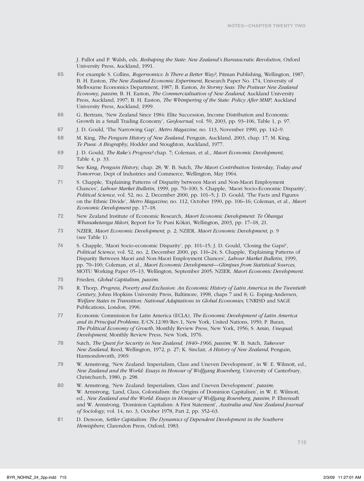J. Pallot and P. Walsh, eds, *Reshaping the State: New Zealand's Bureaucratic Revolution*, Oxford University Press, Auckland, 1991.

- 65 For example S. Collins, *Rogernomics: Is There a Better Way?*, Pitman Publishing, Wellington, 1987; B. H. Easton, *The New Zealand Economic Experiment*, Research Paper No. 174, University of Melbourne Economics Department, 1987; B. Easton, *In Stormy Seas: The Postwar New Zealand Economy, passim*; B. H. Easton, *The Commercialisation of New Zealand*, Auckland University Press, Auckland, 1997; B. H. Easton, *The Whimpering of the State: Policy After MMP*, Auckland University Press, Auckland, 1999.
- 66 G. Bertram, 'New Zealand Since 1984: Elite Succession, Income Distribution and Economic Growth in a Small Trading Economy', *GeoJournal*, vol. 59, 2003, pp. 93–106, Table 1, p. 97.
- 67 J. D. Gould, 'The Narrowing Gap', *Metro Magazine*, no. 113, November 1990, pp. 142–9.
- 68 M. King, *The Penguin History of New Zealand*, Penguin, Auckland, 2003, chap. 17; M. King, *Te Puea: A Biography*, Hodder and Stoughton, Auckland, 1977.
- 69 J. D. Gould, *The Rake's Progress?* chap. 7; Coleman, et al., *Maori Economic Development*, Table 4, p. 33.
- 70 See King, *Penguin History*, chap. 28; W. B. Sutch, *The Maori Contribution Yesterday, Today and Tomorrow*, Dept of Industries and Commerce, Wellington, May 1964.
- 71 S. Chapple, 'Explaining Patterns of Disparity between Maori and Non-Maori Employment Chances', *Labour Market Bulletin*, 1999, pp. 70–100; S. Chapple, 'Maori Socio-Economic Disparity', *Political Science*, vol. 52, no. 2, December 2000, pp. 101–5; J. D. Gould, 'The Facts and Figures on the Ethnic Divide', *Metro Magazine*, no. 112, October 1990, pp. 106–16; Coleman, et al., *Maori Economic Development* pp. 17–18.
- 72 New Zealand Institute of Economic Research, *Maori Economic Development: Te Õhanga Whanaketanga Mãori*, Report for Te Puni Kõkiri, Wellington, 2003, pp. 17–18, 21.
- 73 NZIER, *Maori Economic Development*, p. 2; NZIER, *Maori Economic Development*, p. 9 (see Table 1).
- 74 S. Chapple, 'Maori Socio-economic Disparity', pp. 101–15; J. D. Gould, 'Closing the Gaps?', *Political Science*, vol. 52, no. 2, December 2000, pp. 116–24; S. Chapple, 'Explaining Patterns of Disparity Between Maori and Non-Maori Employment Chances', *Labour Market Bulletin*, 1999, pp. 70–100; Coleman, et al., *Maori Economic Development—Glimpses from Statistical Sources*, MOTU Working Paper 05–13, Wellington, September 2005; NZIER, *Maori Economic Development*.
- 75 Frieden, *Global Capitalism, passim*.
- 76 R. Thorp, *Progress, Poverty and Exclusion: An Economic History of Latin America in the Twentieth Century*, Johns Hopkins University Press, Baltimore, 1998, chaps 7 and 8; G. Esping-Andersen, *Welfare States in Transition: National Adaptations in Global Economies*, UNRISD and SAGE Publications, London, 1996.
- 77 Economic Commission for Latin America (ECLA), *The Economic Development of Latin America and its Principal Problems*, E/CN.12/89/Rev.1, New York, United Nations, 1950; P. Baran, *The Political Economy of Growth*, Monthly Review Press, New York, 1956; S. Amin, *Unequal; Development*, Monthly Review Press, New York, 1976.
- 78 Sutch, *The Quest for Security in New Zealand, 1840–1966, passim*; W. B. Sutch, *Takeover New Zealand*, Reed, Wellington, 1972, p. 27; K. Sinclair, *A History of New Zealand*, Penguin, Harmondsworth, 1969.
- 79 W. Armstrong, 'New Zealand: Imperialism, Class and Uneven Development', in W. E. Wilmott, ed., *New Zealand and the World: Essays in Honour of Wolfgang Rosenberg*, University of Canterbury, Christchurch, 1980, p. 298.
- 80 W. Armstrong, 'New Zealand: Imperialism, Class and Uneven Development', *passim*; W. Armstrong, 'Land, Class, Colonialism: the Origins of Dominion Capitalism', in W. E. Wilmott, ed., *New Zealand and the World: Essays in Honour of Wolfgang Rosenberg, passim*; P. Ehrensaft and W. Armstrong, 'Dominion Capitalism: A First Statement', *Australia and New Zealand Journal of Sociology*, vol. 14, no. 3, October 1978, Part 2, pp. 352–63.
- 81 D. Denoon, *Settler Capitalism: The Dynamics of Dependent Development in the Southern Hemisphere*, Clarendon Press, Oxford, 1983.